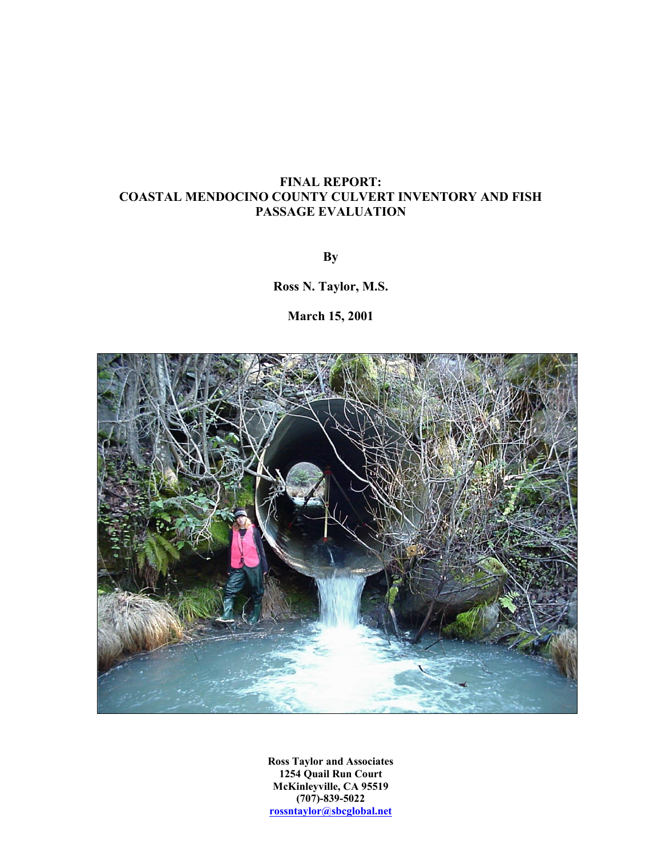## **FINAL REPORT: COASTAL MENDOCINO COUNTY CULVERT INVENTORY AND FISH PASSAGE EVALUATION**

**By** 

**Ross N. Taylor, M.S.** 

**March 15, 2001** 



**Ross Taylor and Associates 1254 Quail Run Court McKinleyville, CA 95519 (707)-839-5022 rossntaylor@sbcglobal.net**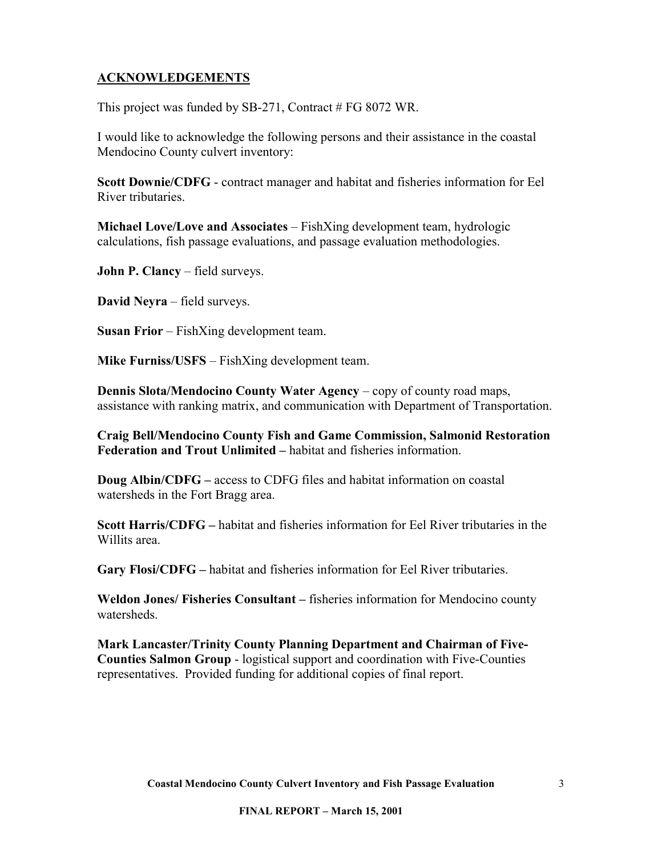## <span id="page-2-0"></span>**ACKNOWLEDGEMENTS**

This project was funded by SB-271, Contract # FG 8072 WR.

I would like to acknowledge the following persons and their assistance in the coastal Mendocino County culvert inventory:

**Scott Downie/CDFG** - contract manager and habitat and fisheries information for Eel River tributaries.

**Michael Love/Love and Associates** – FishXing development team, hydrologic calculations, fish passage evaluations, and passage evaluation methodologies.

**John P. Clancy** – field surveys.

**David Neyra** – field surveys.

**Susan Frior** – FishXing development team.

**Mike Furniss/USFS** – FishXing development team.

**Dennis Slota/Mendocino County Water Agency** – copy of county road maps, assistance with ranking matrix, and communication with Department of Transportation.

**Craig Bell/Mendocino County Fish and Game Commission, Salmonid Restoration Federation and Trout Unlimited –** habitat and fisheries information.

**Doug Albin/CDFG –** access to CDFG files and habitat information on coastal watersheds in the Fort Bragg area.

**Scott Harris/CDFG –** habitat and fisheries information for Eel River tributaries in the Willits area.

**Gary Flosi/CDFG –** habitat and fisheries information for Eel River tributaries.

**Weldon Jones/ Fisheries Consultant –** fisheries information for Mendocino county watersheds.

**Mark Lancaster/Trinity County Planning Department and Chairman of Five-Counties Salmon Group** - logistical support and coordination with Five-Counties representatives. Provided funding for additional copies of final report.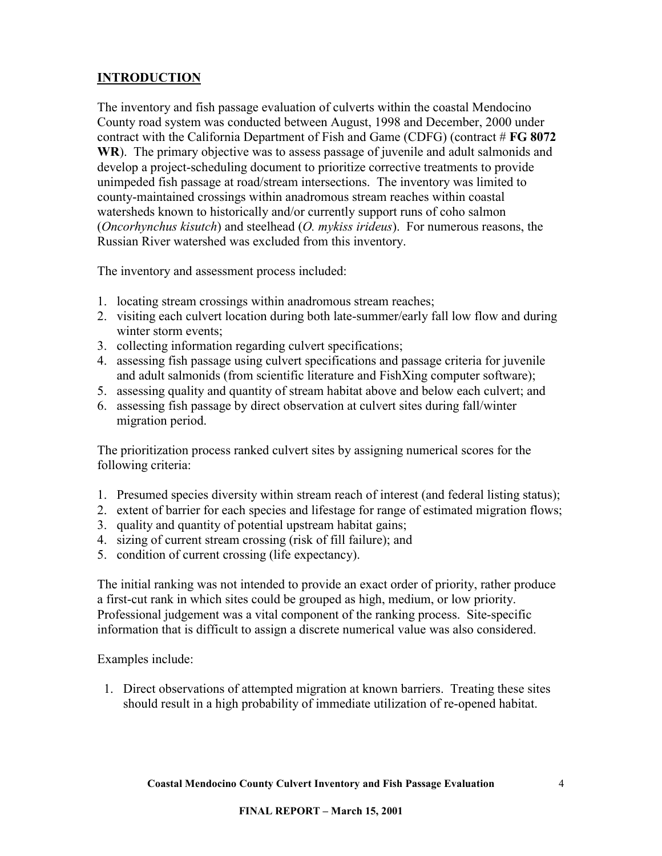# <span id="page-3-0"></span>**INTRODUCTION**

The inventory and fish passage evaluation of culverts within the coastal Mendocino County road system was conducted between August, 1998 and December, 2000 under contract with the California Department of Fish and Game (CDFG) (contract # **FG 8072 WR**). The primary objective was to assess passage of juvenile and adult salmonids and develop a project-scheduling document to prioritize corrective treatments to provide unimpeded fish passage at road/stream intersections. The inventory was limited to county-maintained crossings within anadromous stream reaches within coastal watersheds known to historically and/or currently support runs of coho salmon (*Oncorhynchus kisutch*) and steelhead (*O. mykiss irideus*). For numerous reasons, the Russian River watershed was excluded from this inventory.

The inventory and assessment process included:

- 1. locating stream crossings within anadromous stream reaches;
- 2. visiting each culvert location during both late-summer/early fall low flow and during winter storm events;
- 3. collecting information regarding culvert specifications;
- 4. assessing fish passage using culvert specifications and passage criteria for juvenile and adult salmonids (from scientific literature and FishXing computer software);
- 5. assessing quality and quantity of stream habitat above and below each culvert; and
- 6. assessing fish passage by direct observation at culvert sites during fall/winter migration period.

The prioritization process ranked culvert sites by assigning numerical scores for the following criteria:

- 1. Presumed species diversity within stream reach of interest (and federal listing status);
- 2. extent of barrier for each species and lifestage for range of estimated migration flows;
- 3. quality and quantity of potential upstream habitat gains;
- 4. sizing of current stream crossing (risk of fill failure); and
- 5. condition of current crossing (life expectancy).

The initial ranking was not intended to provide an exact order of priority, rather produce a first-cut rank in which sites could be grouped as high, medium, or low priority. Professional judgement was a vital component of the ranking process. Site-specific information that is difficult to assign a discrete numerical value was also considered.

Examples include:

1. Direct observations of attempted migration at known barriers. Treating these sites should result in a high probability of immediate utilization of re-opened habitat.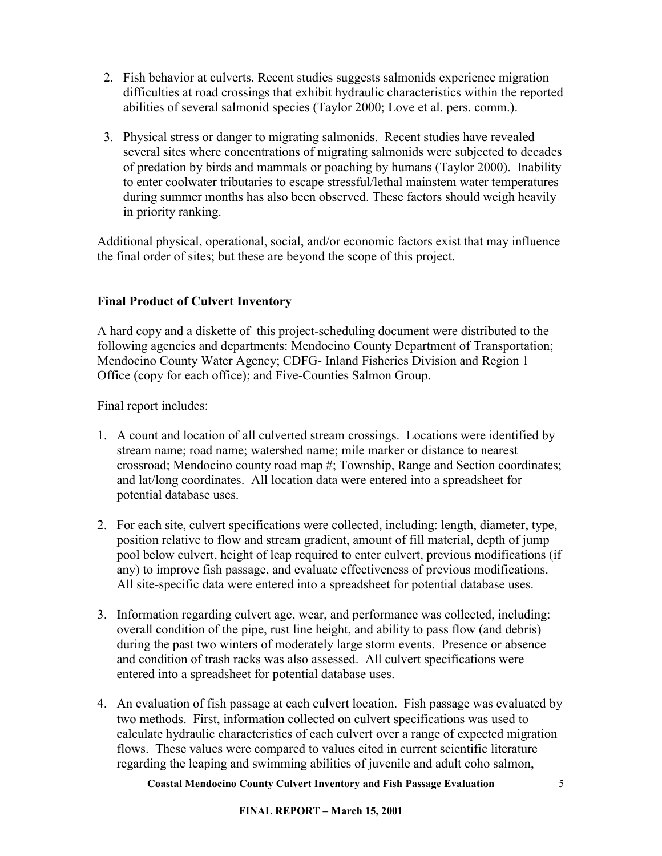- <span id="page-4-0"></span>2. Fish behavior at culverts. Recent studies suggests salmonids experience migration difficulties at road crossings that exhibit hydraulic characteristics within the reported abilities of several salmonid species (Taylor 2000; Love et al. pers. comm.).
- 3. Physical stress or danger to migrating salmonids. Recent studies have revealed several sites where concentrations of migrating salmonids were subjected to decades of predation by birds and mammals or poaching by humans (Taylor 2000). Inability to enter coolwater tributaries to escape stressful/lethal mainstem water temperatures during summer months has also been observed. These factors should weigh heavily in priority ranking.

Additional physical, operational, social, and/or economic factors exist that may influence the final order of sites; but these are beyond the scope of this project.

## **Final Product of Culvert Inventory**

A hard copy and a diskette of this project-scheduling document were distributed to the following agencies and departments: Mendocino County Department of Transportation; Mendocino County Water Agency; CDFG- Inland Fisheries Division and Region 1 Office (copy for each office); and Five-Counties Salmon Group.

Final report includes:

- 1. A count and location of all culverted stream crossings. Locations were identified by stream name; road name; watershed name; mile marker or distance to nearest crossroad; Mendocino county road map #; Township, Range and Section coordinates; and lat/long coordinates. All location data were entered into a spreadsheet for potential database uses.
- 2. For each site, culvert specifications were collected, including: length, diameter, type, position relative to flow and stream gradient, amount of fill material, depth of jump pool below culvert, height of leap required to enter culvert, previous modifications (if any) to improve fish passage, and evaluate effectiveness of previous modifications. All site-specific data were entered into a spreadsheet for potential database uses.
- 3. Information regarding culvert age, wear, and performance was collected, including: overall condition of the pipe, rust line height, and ability to pass flow (and debris) during the past two winters of moderately large storm events. Presence or absence and condition of trash racks was also assessed. All culvert specifications were entered into a spreadsheet for potential database uses.
- 4. An evaluation of fish passage at each culvert location. Fish passage was evaluated by two methods. First, information collected on culvert specifications was used to calculate hydraulic characteristics of each culvert over a range of expected migration flows. These values were compared to values cited in current scientific literature regarding the leaping and swimming abilities of juvenile and adult coho salmon,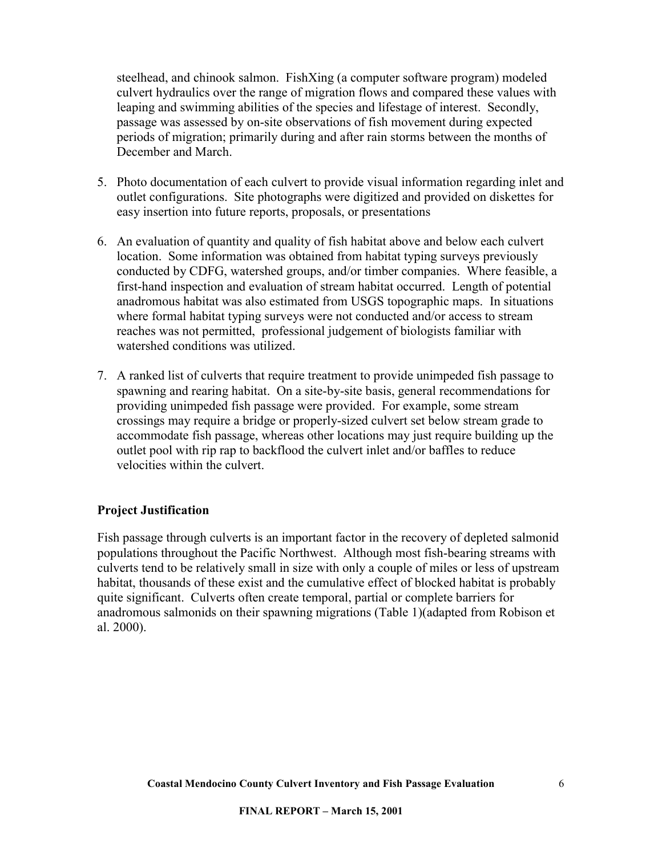<span id="page-5-0"></span>steelhead, and chinook salmon. FishXing (a computer software program) modeled culvert hydraulics over the range of migration flows and compared these values with leaping and swimming abilities of the species and lifestage of interest. Secondly, passage was assessed by on-site observations of fish movement during expected periods of migration; primarily during and after rain storms between the months of December and March.

- 5. Photo documentation of each culvert to provide visual information regarding inlet and outlet configurations. Site photographs were digitized and provided on diskettes for easy insertion into future reports, proposals, or presentations
- 6. An evaluation of quantity and quality of fish habitat above and below each culvert location. Some information was obtained from habitat typing surveys previously conducted by CDFG, watershed groups, and/or timber companies. Where feasible, a first-hand inspection and evaluation of stream habitat occurred. Length of potential anadromous habitat was also estimated from USGS topographic maps. In situations where formal habitat typing surveys were not conducted and/or access to stream reaches was not permitted, professional judgement of biologists familiar with watershed conditions was utilized.
- 7. A ranked list of culverts that require treatment to provide unimpeded fish passage to spawning and rearing habitat. On a site-by-site basis, general recommendations for providing unimpeded fish passage were provided. For example, some stream crossings may require a bridge or properly-sized culvert set below stream grade to accommodate fish passage, whereas other locations may just require building up the outlet pool with rip rap to backflood the culvert inlet and/or baffles to reduce velocities within the culvert.

## **Project Justification**

Fish passage through culverts is an important factor in the recovery of depleted salmonid populations throughout the Pacific Northwest. Although most fish-bearing streams with culverts tend to be relatively small in size with only a couple of miles or less of upstream habitat, thousands of these exist and the cumulative effect of blocked habitat is probably quite significant. Culverts often create temporal, partial or complete barriers for anadromous salmonids on their spawning migrations (Table 1)(adapted from Robison et al. 2000).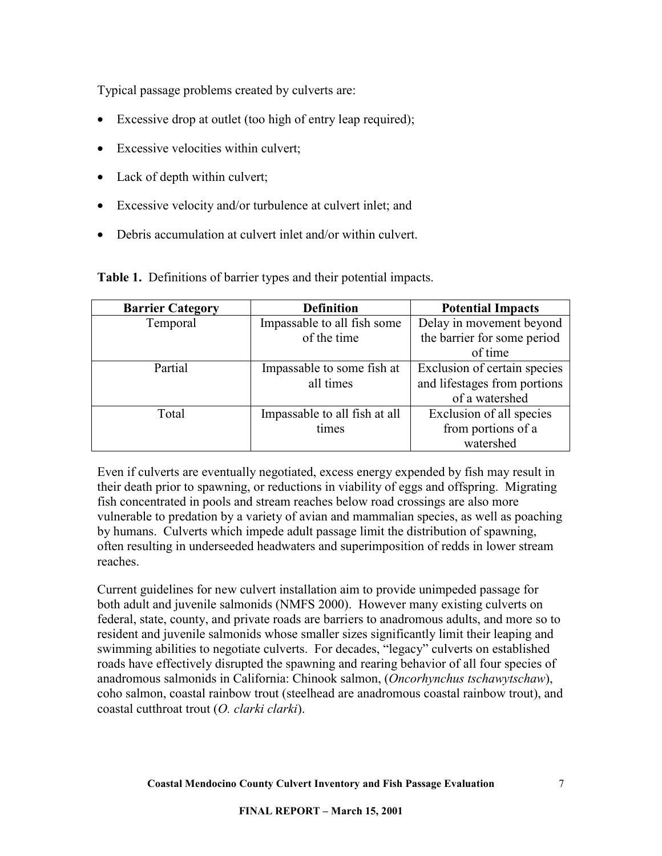Typical passage problems created by culverts are:

- Excessive drop at outlet (too high of entry leap required);
- Excessive velocities within culvert;
- Lack of depth within culvert;
- Excessive velocity and/or turbulence at culvert inlet; and
- Debris accumulation at culvert inlet and/or within culvert.

**Table 1.** Definitions of barrier types and their potential impacts.

| <b>Barrier Category</b> | <b>Definition</b>             | <b>Potential Impacts</b>     |
|-------------------------|-------------------------------|------------------------------|
| Temporal                | Impassable to all fish some   | Delay in movement beyond     |
|                         | of the time                   | the barrier for some period  |
|                         |                               | of time                      |
| Partial                 | Impassable to some fish at    | Exclusion of certain species |
|                         | all times                     | and lifestages from portions |
|                         |                               | of a watershed               |
| Total                   | Impassable to all fish at all | Exclusion of all species     |
|                         | times                         | from portions of a           |
|                         |                               | watershed                    |

Even if culverts are eventually negotiated, excess energy expended by fish may result in their death prior to spawning, or reductions in viability of eggs and offspring. Migrating fish concentrated in pools and stream reaches below road crossings are also more vulnerable to predation by a variety of avian and mammalian species, as well as poaching by humans. Culverts which impede adult passage limit the distribution of spawning, often resulting in underseeded headwaters and superimposition of redds in lower stream reaches.

Current guidelines for new culvert installation aim to provide unimpeded passage for both adult and juvenile salmonids (NMFS 2000). However many existing culverts on federal, state, county, and private roads are barriers to anadromous adults, and more so to resident and juvenile salmonids whose smaller sizes significantly limit their leaping and swimming abilities to negotiate culverts. For decades, "legacy" culverts on established roads have effectively disrupted the spawning and rearing behavior of all four species of anadromous salmonids in California: Chinook salmon, (*Oncorhynchus tschawytschaw*), coho salmon, coastal rainbow trout (steelhead are anadromous coastal rainbow trout), and coastal cutthroat trout (*O. clarki clarki*).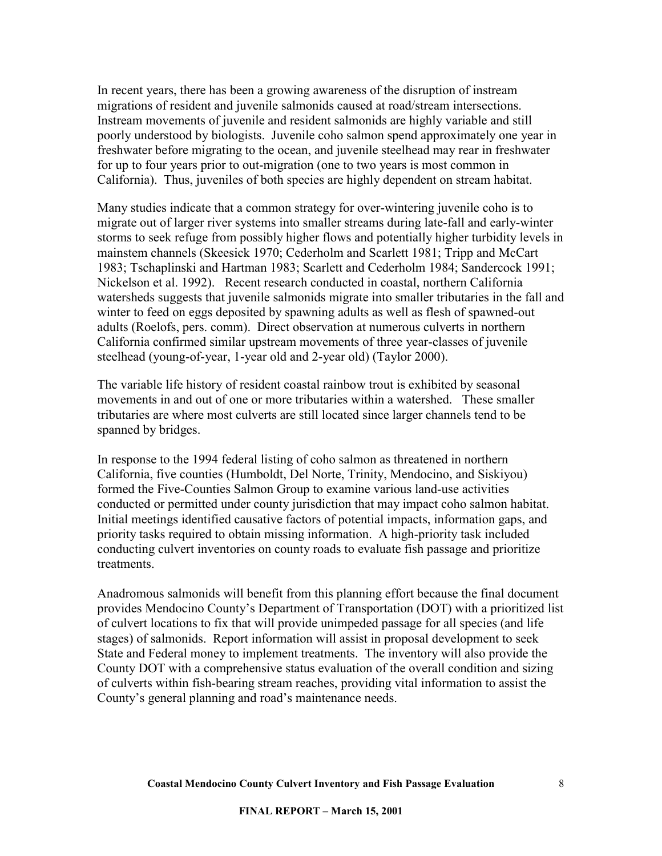In recent years, there has been a growing awareness of the disruption of instream migrations of resident and juvenile salmonids caused at road/stream intersections. Instream movements of juvenile and resident salmonids are highly variable and still poorly understood by biologists. Juvenile coho salmon spend approximately one year in freshwater before migrating to the ocean, and juvenile steelhead may rear in freshwater for up to four years prior to out-migration (one to two years is most common in California). Thus, juveniles of both species are highly dependent on stream habitat.

Many studies indicate that a common strategy for over-wintering juvenile coho is to migrate out of larger river systems into smaller streams during late-fall and early-winter storms to seek refuge from possibly higher flows and potentially higher turbidity levels in mainstem channels (Skeesick 1970; Cederholm and Scarlett 1981; Tripp and McCart 1983; Tschaplinski and Hartman 1983; Scarlett and Cederholm 1984; Sandercock 1991; Nickelson et al. 1992). Recent research conducted in coastal, northern California watersheds suggests that juvenile salmonids migrate into smaller tributaries in the fall and winter to feed on eggs deposited by spawning adults as well as flesh of spawned-out adults (Roelofs, pers. comm). Direct observation at numerous culverts in northern California confirmed similar upstream movements of three year-classes of juvenile steelhead (young-of-year, 1-year old and 2-year old) (Taylor 2000).

The variable life history of resident coastal rainbow trout is exhibited by seasonal movements in and out of one or more tributaries within a watershed. These smaller tributaries are where most culverts are still located since larger channels tend to be spanned by bridges.

In response to the 1994 federal listing of coho salmon as threatened in northern California, five counties (Humboldt, Del Norte, Trinity, Mendocino, and Siskiyou) formed the Five-Counties Salmon Group to examine various land-use activities conducted or permitted under county jurisdiction that may impact coho salmon habitat. Initial meetings identified causative factors of potential impacts, information gaps, and priority tasks required to obtain missing information. A high-priority task included conducting culvert inventories on county roads to evaluate fish passage and prioritize treatments.

Anadromous salmonids will benefit from this planning effort because the final document provides Mendocino County's Department of Transportation (DOT) with a prioritized list of culvert locations to fix that will provide unimpeded passage for all species (and life stages) of salmonids. Report information will assist in proposal development to seek State and Federal money to implement treatments. The inventory will also provide the County DOT with a comprehensive status evaluation of the overall condition and sizing of culverts within fish-bearing stream reaches, providing vital information to assist the County's general planning and road's maintenance needs.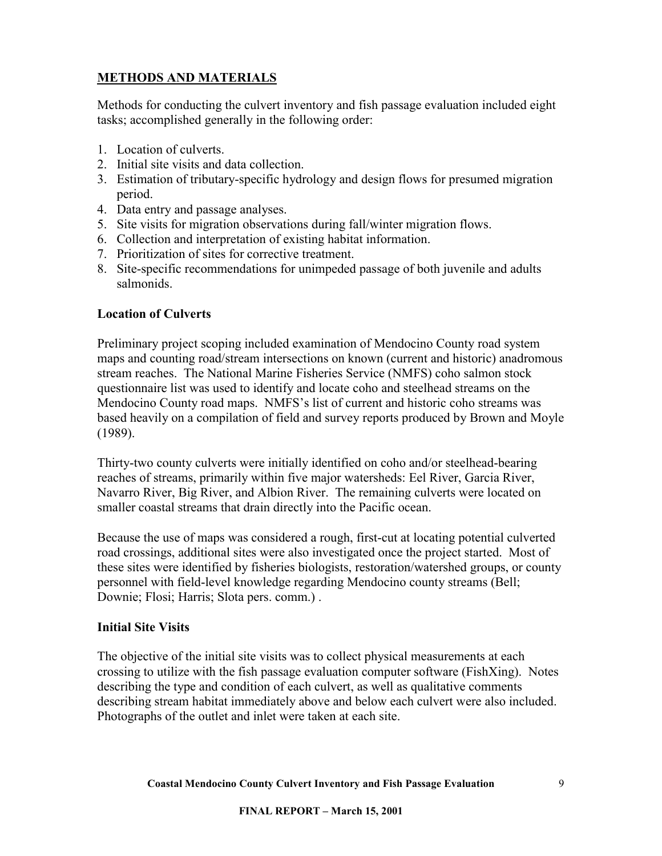## <span id="page-8-0"></span>**METHODS AND MATERIALS**

Methods for conducting the culvert inventory and fish passage evaluation included eight tasks; accomplished generally in the following order:

- 1. Location of culverts.
- 2. Initial site visits and data collection.
- 3. Estimation of tributary-specific hydrology and design flows for presumed migration period.
- 4. Data entry and passage analyses.
- 5. Site visits for migration observations during fall/winter migration flows.
- 6. Collection and interpretation of existing habitat information.
- 7. Prioritization of sites for corrective treatment.
- 8. Site-specific recommendations for unimpeded passage of both juvenile and adults salmonids.

#### **Location of Culverts**

Preliminary project scoping included examination of Mendocino County road system maps and counting road/stream intersections on known (current and historic) anadromous stream reaches. The National Marine Fisheries Service (NMFS) coho salmon stock questionnaire list was used to identify and locate coho and steelhead streams on the Mendocino County road maps. NMFS's list of current and historic coho streams was based heavily on a compilation of field and survey reports produced by Brown and Moyle (1989).

Thirty-two county culverts were initially identified on coho and/or steelhead-bearing reaches of streams, primarily within five major watersheds: Eel River, Garcia River, Navarro River, Big River, and Albion River. The remaining culverts were located on smaller coastal streams that drain directly into the Pacific ocean.

Because the use of maps was considered a rough, first-cut at locating potential culverted road crossings, additional sites were also investigated once the project started. Most of these sites were identified by fisheries biologists, restoration/watershed groups, or county personnel with field-level knowledge regarding Mendocino county streams (Bell; Downie; Flosi; Harris; Slota pers. comm.) .

#### **Initial Site Visits**

The objective of the initial site visits was to collect physical measurements at each crossing to utilize with the fish passage evaluation computer software (FishXing). Notes describing the type and condition of each culvert, as well as qualitative comments describing stream habitat immediately above and below each culvert were also included. Photographs of the outlet and inlet were taken at each site.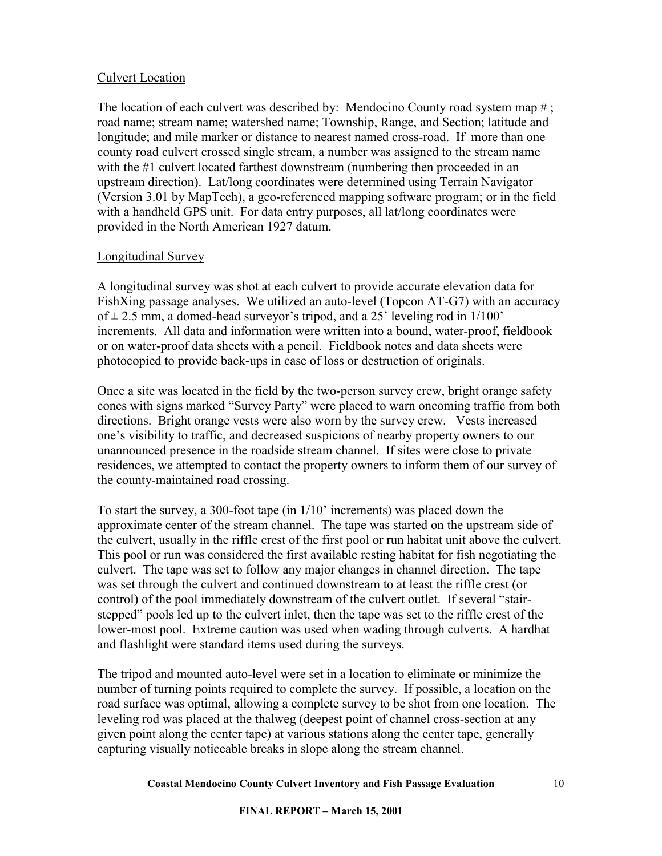### <span id="page-9-0"></span>Culvert Location

The location of each culvert was described by: Mendocino County road system map #; road name; stream name; watershed name; Township, Range, and Section; latitude and longitude; and mile marker or distance to nearest named cross-road. If more than one county road culvert crossed single stream, a number was assigned to the stream name with the #1 culvert located farthest downstream (numbering then proceeded in an upstream direction). Lat/long coordinates were determined using Terrain Navigator (Version 3.01 by MapTech), a geo-referenced mapping software program; or in the field with a handheld GPS unit. For data entry purposes, all lat/long coordinates were provided in the North American 1927 datum.

#### Longitudinal Survey

A longitudinal survey was shot at each culvert to provide accurate elevation data for FishXing passage analyses. We utilized an auto-level (Topcon AT-G7) with an accuracy of  $\pm$  2.5 mm, a domed-head surveyor's tripod, and a 25' leveling rod in 1/100' increments. All data and information were written into a bound, water-proof, fieldbook or on water-proof data sheets with a pencil. Fieldbook notes and data sheets were photocopied to provide back-ups in case of loss or destruction of originals.

Once a site was located in the field by the two-person survey crew, bright orange safety cones with signs marked "Survey Party" were placed to warn oncoming traffic from both directions. Bright orange vests were also worn by the survey crew. Vests increased one's visibility to traffic, and decreased suspicions of nearby property owners to our unannounced presence in the roadside stream channel. If sites were close to private residences, we attempted to contact the property owners to inform them of our survey of the county-maintained road crossing.

To start the survey, a 300-foot tape (in 1/10' increments) was placed down the approximate center of the stream channel. The tape was started on the upstream side of the culvert, usually in the riffle crest of the first pool or run habitat unit above the culvert. This pool or run was considered the first available resting habitat for fish negotiating the culvert. The tape was set to follow any major changes in channel direction. The tape was set through the culvert and continued downstream to at least the riffle crest (or control) of the pool immediately downstream of the culvert outlet. If several "stairstepped" pools led up to the culvert inlet, then the tape was set to the riffle crest of the lower-most pool. Extreme caution was used when wading through culverts. A hardhat and flashlight were standard items used during the surveys.

The tripod and mounted auto-level were set in a location to eliminate or minimize the number of turning points required to complete the survey. If possible, a location on the road surface was optimal, allowing a complete survey to be shot from one location. The leveling rod was placed at the thalweg (deepest point of channel cross-section at any given point along the center tape) at various stations along the center tape, generally capturing visually noticeable breaks in slope along the stream channel.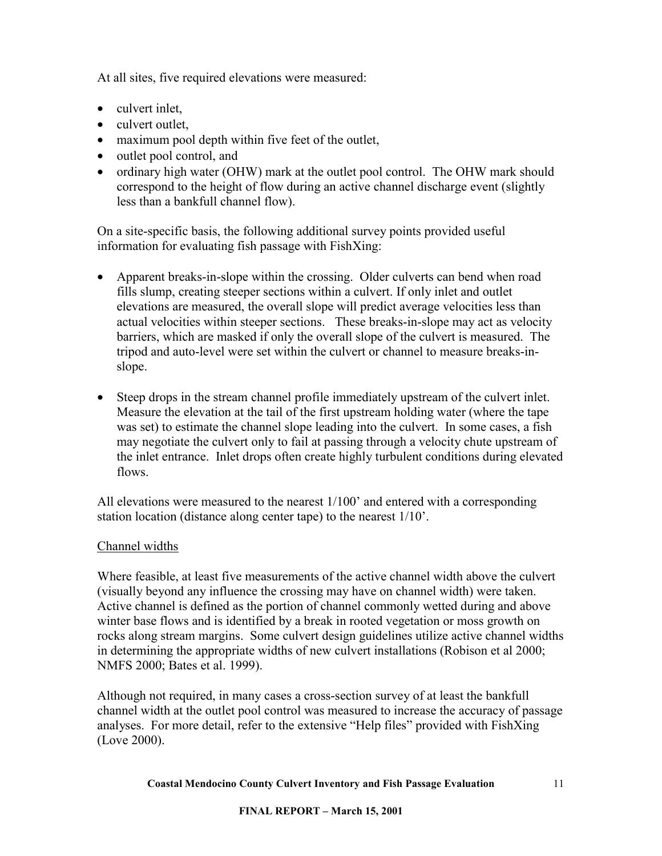<span id="page-10-0"></span>At all sites, five required elevations were measured:

- culvert inlet.
- culvert outlet,
- maximum pool depth within five feet of the outlet,
- outlet pool control, and
- ordinary high water (OHW) mark at the outlet pool control. The OHW mark should correspond to the height of flow during an active channel discharge event (slightly less than a bankfull channel flow).

On a site-specific basis, the following additional survey points provided useful information for evaluating fish passage with FishXing:

- Apparent breaks-in-slope within the crossing. Older culverts can bend when road fills slump, creating steeper sections within a culvert. If only inlet and outlet elevations are measured, the overall slope will predict average velocities less than actual velocities within steeper sections. These breaks-in-slope may act as velocity barriers, which are masked if only the overall slope of the culvert is measured. The tripod and auto-level were set within the culvert or channel to measure breaks-inslope.
- Steep drops in the stream channel profile immediately upstream of the culvert inlet. Measure the elevation at the tail of the first upstream holding water (where the tape was set) to estimate the channel slope leading into the culvert. In some cases, a fish may negotiate the culvert only to fail at passing through a velocity chute upstream of the inlet entrance. Inlet drops often create highly turbulent conditions during elevated flows.

All elevations were measured to the nearest 1/100' and entered with a corresponding station location (distance along center tape) to the nearest 1/10'.

## Channel widths

Where feasible, at least five measurements of the active channel width above the culvert (visually beyond any influence the crossing may have on channel width) were taken. Active channel is defined as the portion of channel commonly wetted during and above winter base flows and is identified by a break in rooted vegetation or moss growth on rocks along stream margins. Some culvert design guidelines utilize active channel widths in determining the appropriate widths of new culvert installations (Robison et al 2000; NMFS 2000; Bates et al. 1999).

Although not required, in many cases a cross-section survey of at least the bankfull channel width at the outlet pool control was measured to increase the accuracy of passage analyses. For more detail, refer to the extensive "Help files" provided with FishXing (Love 2000).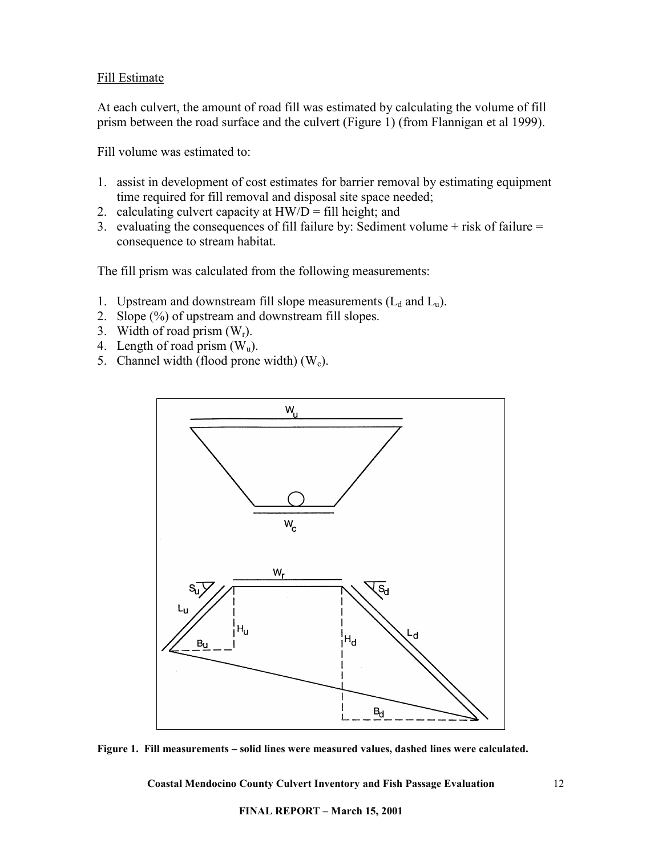#### <span id="page-11-0"></span>Fill Estimate

At each culvert, the amount of road fill was estimated by calculating the volume of fill prism between the road surface and the culvert (Figure 1) (from Flannigan et al 1999).

Fill volume was estimated to:

- 1. assist in development of cost estimates for barrier removal by estimating equipment time required for fill removal and disposal site space needed;
- 2. calculating culvert capacity at  $HW/D = fill$  height; and
- 3. evaluating the consequences of fill failure by: Sediment volume  $+$  risk of failure  $=$ consequence to stream habitat.

The fill prism was calculated from the following measurements:

- 1. Upstream and downstream fill slope measurements  $(L_d$  and  $L_u$ ).
- 2. Slope (%) of upstream and downstream fill slopes.
- 3. Width of road prism  $(W_r)$ .
- 4. Length of road prism  $(W_u)$ .
- 5. Channel width (flood prone width)  $(W_c)$ .



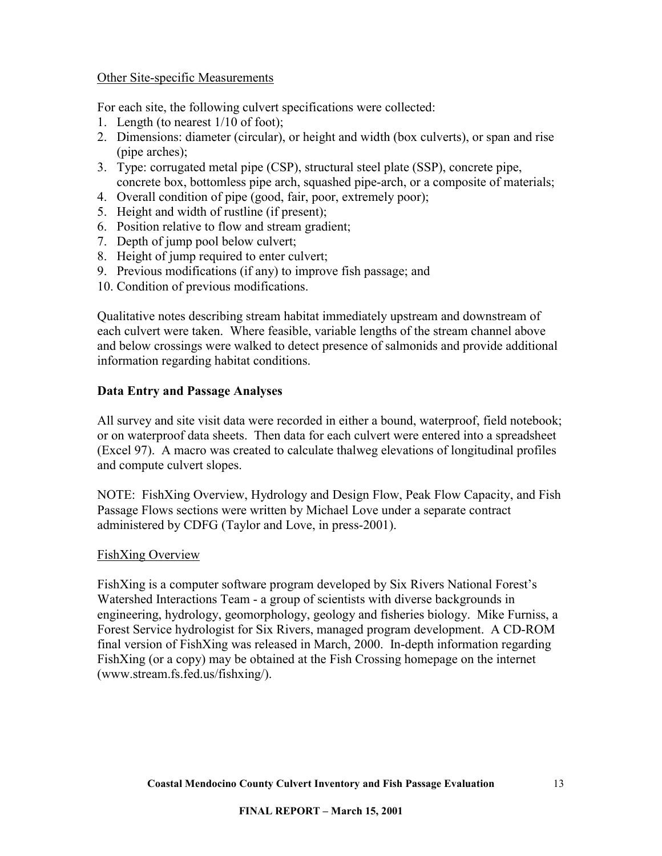#### <span id="page-12-0"></span>Other Site-specific Measurements

For each site, the following culvert specifications were collected:

- 1. Length (to nearest 1/10 of foot);
- 2. Dimensions: diameter (circular), or height and width (box culverts), or span and rise (pipe arches);
- 3. Type: corrugated metal pipe (CSP), structural steel plate (SSP), concrete pipe, concrete box, bottomless pipe arch, squashed pipe-arch, or a composite of materials;
- 4. Overall condition of pipe (good, fair, poor, extremely poor);
- 5. Height and width of rustline (if present);
- 6. Position relative to flow and stream gradient;
- 7. Depth of jump pool below culvert;
- 8. Height of jump required to enter culvert;
- 9. Previous modifications (if any) to improve fish passage; and
- 10. Condition of previous modifications.

Qualitative notes describing stream habitat immediately upstream and downstream of each culvert were taken. Where feasible, variable lengths of the stream channel above and below crossings were walked to detect presence of salmonids and provide additional information regarding habitat conditions.

## **Data Entry and Passage Analyses**

All survey and site visit data were recorded in either a bound, waterproof, field notebook; or on waterproof data sheets. Then data for each culvert were entered into a spreadsheet (Excel 97). A macro was created to calculate thalweg elevations of longitudinal profiles and compute culvert slopes.

NOTE: FishXing Overview, Hydrology and Design Flow, Peak Flow Capacity, and Fish Passage Flows sections were written by Michael Love under a separate contract administered by CDFG (Taylor and Love, in press-2001).

## FishXing Overview

FishXing is a computer software program developed by Six Rivers National Forest's Watershed Interactions Team - a group of scientists with diverse backgrounds in engineering, hydrology, geomorphology, geology and fisheries biology. Mike Furniss, a Forest Service hydrologist for Six Rivers, managed program development. A CD-ROM final version of FishXing was released in March, 2000. In-depth information regarding FishXing (or a copy) may be obtained at the Fish Crossing homepage on the internet (www.stream.fs.fed.us/fishxing/).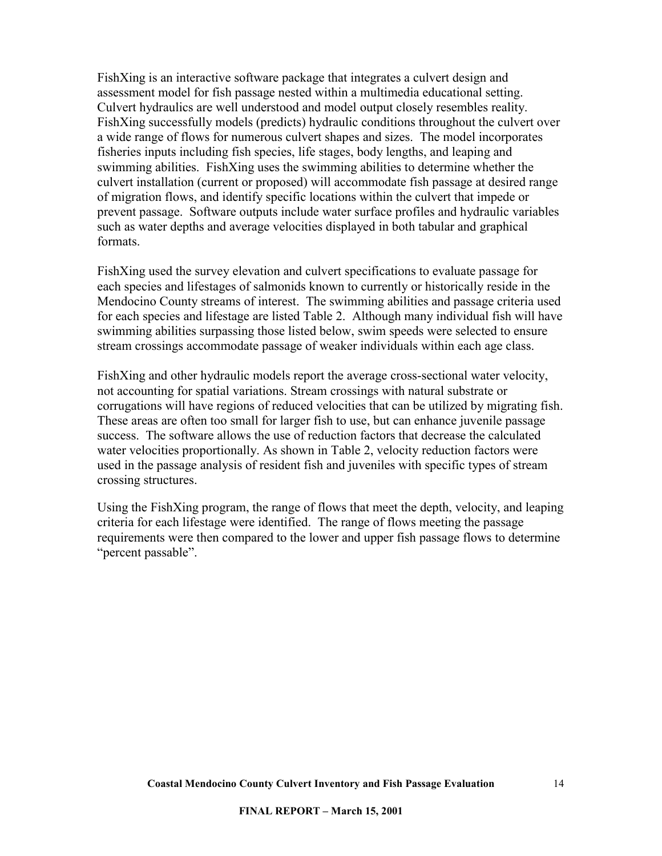FishXing is an interactive software package that integrates a culvert design and assessment model for fish passage nested within a multimedia educational setting. Culvert hydraulics are well understood and model output closely resembles reality. FishXing successfully models (predicts) hydraulic conditions throughout the culvert over a wide range of flows for numerous culvert shapes and sizes. The model incorporates fisheries inputs including fish species, life stages, body lengths, and leaping and swimming abilities. FishXing uses the swimming abilities to determine whether the culvert installation (current or proposed) will accommodate fish passage at desired range of migration flows, and identify specific locations within the culvert that impede or prevent passage. Software outputs include water surface profiles and hydraulic variables such as water depths and average velocities displayed in both tabular and graphical formats.

FishXing used the survey elevation and culvert specifications to evaluate passage for each species and lifestages of salmonids known to currently or historically reside in the Mendocino County streams of interest. The swimming abilities and passage criteria used for each species and lifestage are listed Table 2. Although many individual fish will have swimming abilities surpassing those listed below, swim speeds were selected to ensure stream crossings accommodate passage of weaker individuals within each age class.

FishXing and other hydraulic models report the average cross-sectional water velocity, not accounting for spatial variations. Stream crossings with natural substrate or corrugations will have regions of reduced velocities that can be utilized by migrating fish. These areas are often too small for larger fish to use, but can enhance juvenile passage success. The software allows the use of reduction factors that decrease the calculated water velocities proportionally. As shown in Table 2, velocity reduction factors were used in the passage analysis of resident fish and juveniles with specific types of stream crossing structures.

Using the FishXing program, the range of flows that meet the depth, velocity, and leaping criteria for each lifestage were identified. The range of flows meeting the passage requirements were then compared to the lower and upper fish passage flows to determine "percent passable".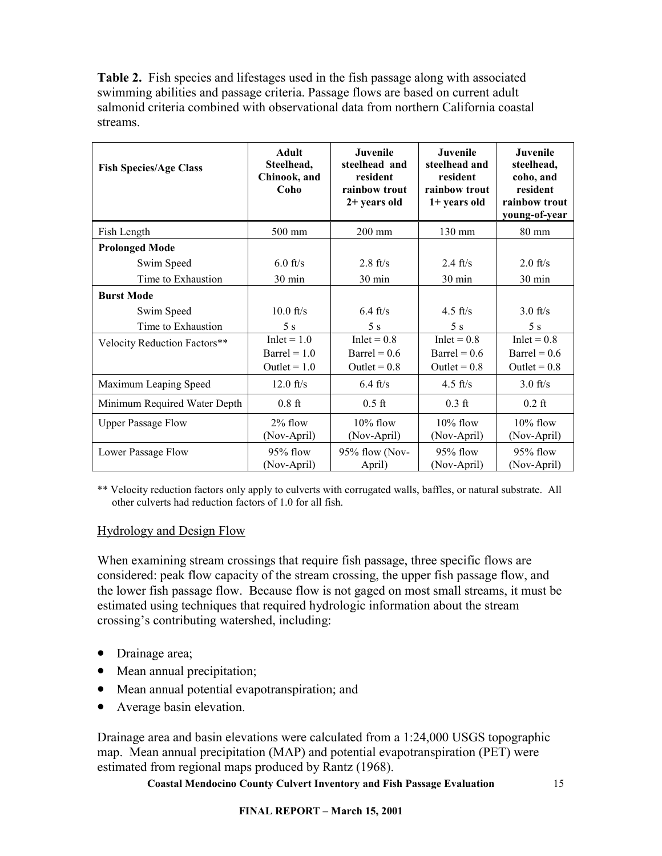<span id="page-14-0"></span>**Table 2.** Fish species and lifestages used in the fish passage along with associated swimming abilities and passage criteria. Passage flows are based on current adult salmonid criteria combined with observational data from northern California coastal streams.

| <b>Fish Species/Age Class</b> | <b>Adult</b><br>Steelhead,<br>Chinook, and<br>Coho       | Juvenile<br>steelhead and<br>resident<br>rainbow trout<br>$2+$ years old | Juvenile<br>steelhead and<br>resident<br>rainbow trout<br>1+ years old | <b>Juvenile</b><br>steelhead,<br>coho, and<br>resident<br>rainbow trout<br>young-of-year |
|-------------------------------|----------------------------------------------------------|--------------------------------------------------------------------------|------------------------------------------------------------------------|------------------------------------------------------------------------------------------|
| Fish Length                   | 500 mm                                                   | $200$ mm                                                                 | 130 mm                                                                 | 80 mm                                                                                    |
| <b>Prolonged Mode</b>         |                                                          |                                                                          |                                                                        |                                                                                          |
| Swim Speed                    | $6.0$ ft/s                                               | $2.8 \text{ ft/s}$                                                       | $2.4 \text{ ft/s}$                                                     | $2.0$ ft/s                                                                               |
| Time to Exhaustion            | 30 min                                                   | 30 min                                                                   | $30 \text{ min}$                                                       | $30 \text{ min}$                                                                         |
| <b>Burst Mode</b>             |                                                          |                                                                          |                                                                        |                                                                                          |
| Swim Speed                    | $10.0$ ft/s                                              | $6.4 \text{ ft/s}$                                                       | 4.5 ft/s                                                               | $3.0$ ft/s                                                                               |
| Time to Exhaustion            | 5s                                                       | 5s                                                                       | 5 s                                                                    | 5s                                                                                       |
| Velocity Reduction Factors**  | $Inlet = 1.0$<br>$\text{Barrel} = 1.0$<br>Outlet $= 1.0$ | $Inlet = 0.8$<br>Barrel = $0.6$<br>Outlet = $0.8$                        | $Inlet = 0.8$<br>$\text{Barrel} = 0.6$<br>Outlet = $0.8$               | $Inlet = 0.8$<br>$\text{Barrel} = 0.6$<br>Outlet = $0.8$                                 |
| Maximum Leaping Speed         | $12.0$ ft/s                                              | $6.4 \text{ ft/s}$                                                       | $4.5$ ft/s                                                             | $3.0$ ft/s                                                                               |
| Minimum Required Water Depth  | $0.8$ ft                                                 | $0.5$ ft                                                                 | $0.3$ ft                                                               | $0.2$ ft                                                                                 |
| <b>Upper Passage Flow</b>     | 2% flow<br>(Nov-April)                                   | $10\%$ flow<br>(Nov-April)                                               | $10\%$ flow<br>(Nov-April)                                             | $10\%$ flow<br>(Nov-April)                                                               |
| Lower Passage Flow            | 95% flow<br>(Nov-April)                                  | $95\%$ flow (Nov-<br>April)                                              | 95% flow<br>(Nov-April)                                                | 95% flow<br>(Nov-April)                                                                  |

\*\* Velocity reduction factors only apply to culverts with corrugated walls, baffles, or natural substrate. All other culverts had reduction factors of 1.0 for all fish.

#### Hydrology and Design Flow

When examining stream crossings that require fish passage, three specific flows are considered: peak flow capacity of the stream crossing, the upper fish passage flow, and the lower fish passage flow. Because flow is not gaged on most small streams, it must be estimated using techniques that required hydrologic information about the stream crossing's contributing watershed, including:

- Drainage area;
- Mean annual precipitation;
- Mean annual potential evapotranspiration; and
- Average basin elevation.

Drainage area and basin elevations were calculated from a 1:24,000 USGS topographic map. Mean annual precipitation (MAP) and potential evapotranspiration (PET) were estimated from regional maps produced by Rantz (1968).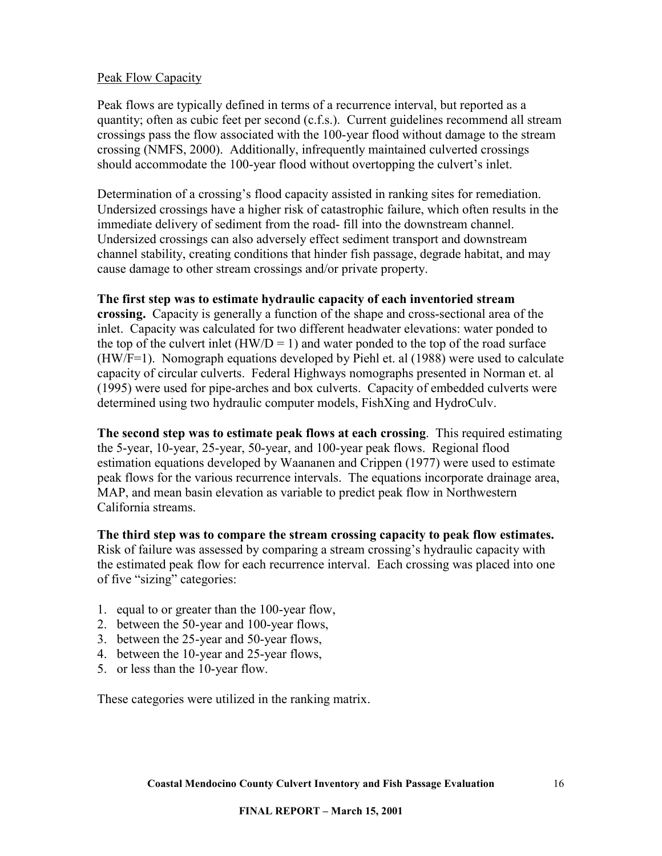#### <span id="page-15-0"></span>Peak Flow Capacity

Peak flows are typically defined in terms of a recurrence interval, but reported as a quantity; often as cubic feet per second (c.f.s.). Current guidelines recommend all stream crossings pass the flow associated with the 100-year flood without damage to the stream crossing (NMFS, 2000). Additionally, infrequently maintained culverted crossings should accommodate the 100-year flood without overtopping the culvert's inlet.

Determination of a crossing's flood capacity assisted in ranking sites for remediation. Undersized crossings have a higher risk of catastrophic failure, which often results in the immediate delivery of sediment from the road- fill into the downstream channel. Undersized crossings can also adversely effect sediment transport and downstream channel stability, creating conditions that hinder fish passage, degrade habitat, and may cause damage to other stream crossings and/or private property.

#### **The first step was to estimate hydraulic capacity of each inventoried stream**

**crossing.** Capacity is generally a function of the shape and cross-sectional area of the inlet. Capacity was calculated for two different headwater elevations: water ponded to the top of the culvert inlet  $(HW/D = 1)$  and water ponded to the top of the road surface (HW/F=1). Nomograph equations developed by Piehl et. al (1988) were used to calculate capacity of circular culverts. Federal Highways nomographs presented in Norman et. al (1995) were used for pipe-arches and box culverts. Capacity of embedded culverts were determined using two hydraulic computer models, FishXing and HydroCulv.

**The second step was to estimate peak flows at each crossing**. This required estimating the 5-year, 10-year, 25-year, 50-year, and 100-year peak flows. Regional flood estimation equations developed by Waananen and Crippen (1977) were used to estimate peak flows for the various recurrence intervals. The equations incorporate drainage area, MAP, and mean basin elevation as variable to predict peak flow in Northwestern California streams.

**The third step was to compare the stream crossing capacity to peak flow estimates.**  Risk of failure was assessed by comparing a stream crossing's hydraulic capacity with the estimated peak flow for each recurrence interval. Each crossing was placed into one of five "sizing" categories:

- 1. equal to or greater than the 100-year flow,
- 2. between the 50-year and 100-year flows,
- 3. between the 25-year and 50-year flows,
- 4. between the 10-year and 25-year flows,
- 5. or less than the 10-year flow.

These categories were utilized in the ranking matrix.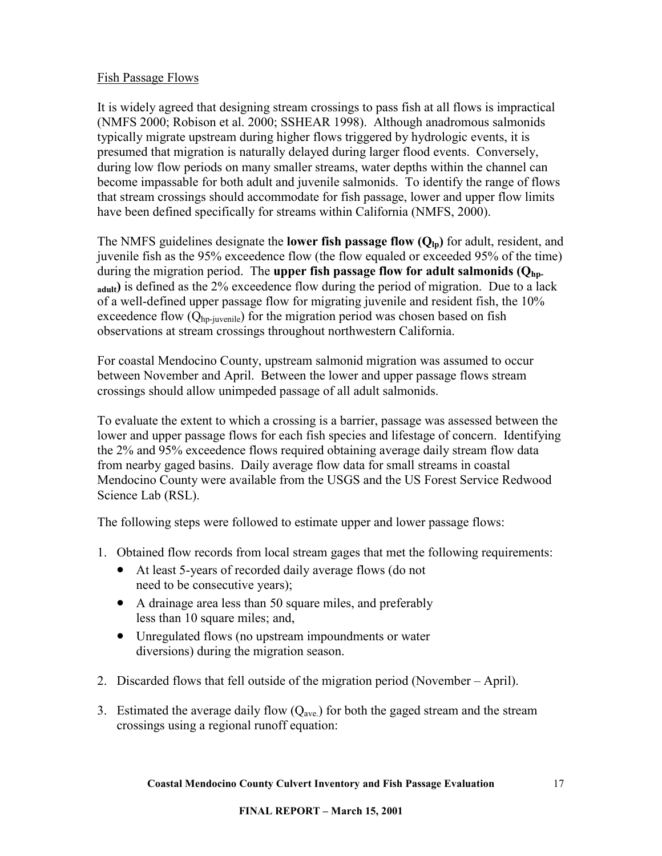#### <span id="page-16-0"></span>Fish Passage Flows

It is widely agreed that designing stream crossings to pass fish at all flows is impractical (NMFS 2000; Robison et al. 2000; SSHEAR 1998). Although anadromous salmonids typically migrate upstream during higher flows triggered by hydrologic events, it is presumed that migration is naturally delayed during larger flood events. Conversely, during low flow periods on many smaller streams, water depths within the channel can become impassable for both adult and juvenile salmonids. To identify the range of flows that stream crossings should accommodate for fish passage, lower and upper flow limits have been defined specifically for streams within California (NMFS, 2000).

The NMFS guidelines designate the **lower fish passage flow** ( $Q_{\text{In}}$ ) for adult, resident, and juvenile fish as the 95% exceedence flow (the flow equaled or exceeded 95% of the time) during the migration period. The **upper fish passage flow for adult salmonids (Q<sub>hp-</sub> adult)** is defined as the 2% exceedence flow during the period of migration. Due to a lack of a well-defined upper passage flow for migrating juvenile and resident fish, the 10% exceedence flow  $(Q<sub>hp-iuvenile</sub>)$  for the migration period was chosen based on fish observations at stream crossings throughout northwestern California.

For coastal Mendocino County, upstream salmonid migration was assumed to occur between November and April. Between the lower and upper passage flows stream crossings should allow unimpeded passage of all adult salmonids.

To evaluate the extent to which a crossing is a barrier, passage was assessed between the lower and upper passage flows for each fish species and lifestage of concern. Identifying the 2% and 95% exceedence flows required obtaining average daily stream flow data from nearby gaged basins. Daily average flow data for small streams in coastal Mendocino County were available from the USGS and the US Forest Service Redwood Science Lab (RSL).

The following steps were followed to estimate upper and lower passage flows:

- 1. Obtained flow records from local stream gages that met the following requirements:
	- At least 5-years of recorded daily average flows (do not need to be consecutive years);
	- A drainage area less than 50 square miles, and preferably less than 10 square miles; and,
	- Unregulated flows (no upstream impoundments or water diversions) during the migration season.
- 2. Discarded flows that fell outside of the migration period (November April).
- 3. Estimated the average daily flow  $(Q<sub>ave</sub>)$  for both the gaged stream and the stream crossings using a regional runoff equation: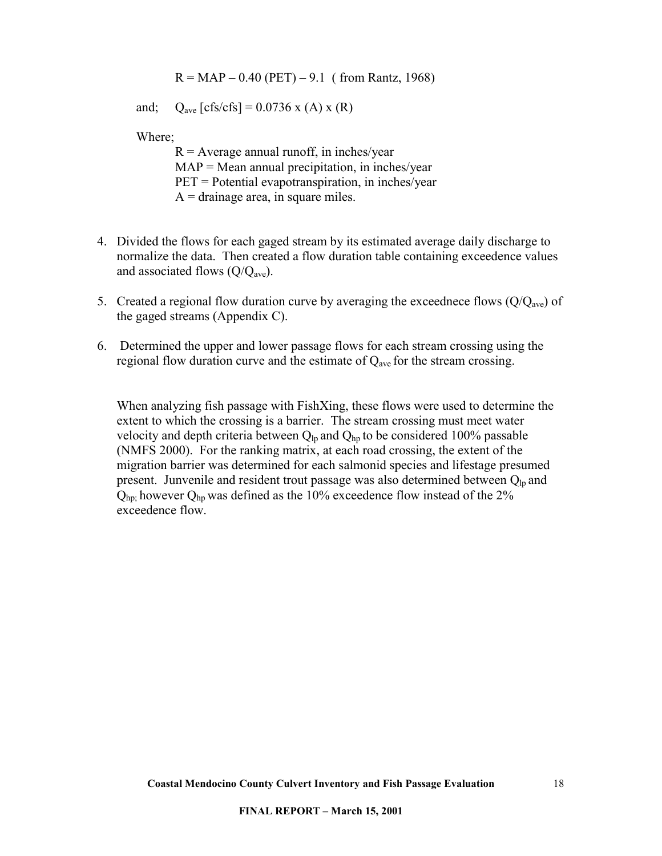$R = MAP - 0.40$  (PET) – 9.1 ( from Rantz, 1968)

and;  $Q_{\text{ave}} [\text{cfs/cfs}] = 0.0736 \text{ x (A) x (R)}$ 

Where;

 $R =$  Average annual runoff, in inches/year  $MAP = Mean$  annual precipitation, in inches/year PET = Potential evapotranspiration, in inches/year  $A = \text{drainage area}, \text{ in square miles.}$ 

- 4. Divided the flows for each gaged stream by its estimated average daily discharge to normalize the data. Then created a flow duration table containing exceedence values and associated flows  $(Q/Q<sub>ave</sub>)$ .
- 5. Created a regional flow duration curve by averaging the exceednece flows  $(Q/Q<sub>ave</sub>)$  of the gaged streams (Appendix C).
- 6. Determined the upper and lower passage flows for each stream crossing using the regional flow duration curve and the estimate of  $Q_{ave}$  for the stream crossing.

When analyzing fish passage with FishXing, these flows were used to determine the extent to which the crossing is a barrier. The stream crossing must meet water velocity and depth criteria between  $Q_{\text{lp}}$  and  $Q_{\text{hp}}$  to be considered 100% passable (NMFS 2000). For the ranking matrix, at each road crossing, the extent of the migration barrier was determined for each salmonid species and lifestage presumed present. Junvenile and resident trout passage was also determined between  $Q_{lp}$  and  $Q_{\text{hp}}$ ; however  $Q_{\text{hp}}$  was defined as the 10% exceedence flow instead of the 2% exceedence flow.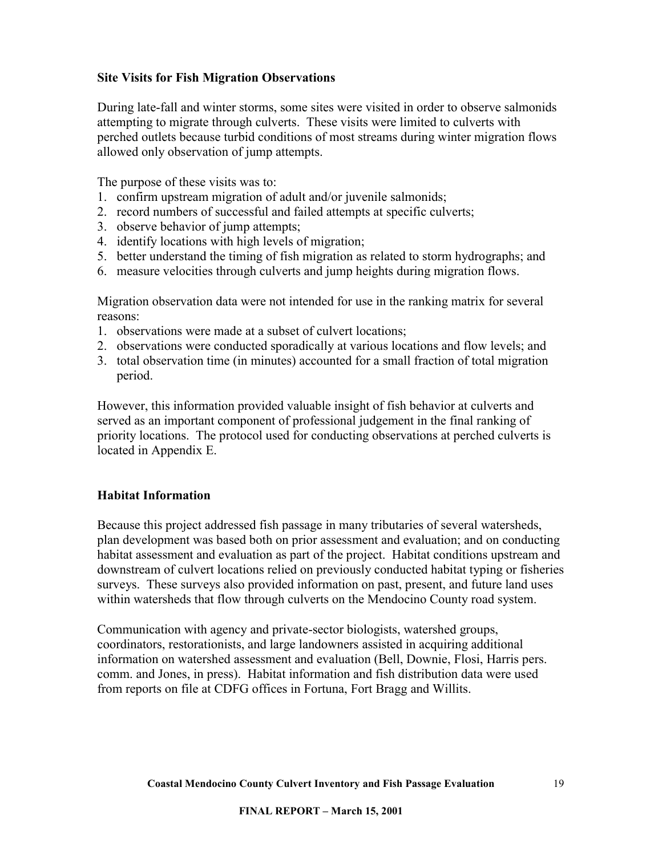### <span id="page-18-0"></span>**Site Visits for Fish Migration Observations**

During late-fall and winter storms, some sites were visited in order to observe salmonids attempting to migrate through culverts. These visits were limited to culverts with perched outlets because turbid conditions of most streams during winter migration flows allowed only observation of jump attempts.

The purpose of these visits was to:

- 1. confirm upstream migration of adult and/or juvenile salmonids;
- 2. record numbers of successful and failed attempts at specific culverts;
- 3. observe behavior of jump attempts;
- 4. identify locations with high levels of migration;
- 5. better understand the timing of fish migration as related to storm hydrographs; and
- 6. measure velocities through culverts and jump heights during migration flows.

Migration observation data were not intended for use in the ranking matrix for several reasons:

- 1. observations were made at a subset of culvert locations;
- 2. observations were conducted sporadically at various locations and flow levels; and
- 3. total observation time (in minutes) accounted for a small fraction of total migration period.

However, this information provided valuable insight of fish behavior at culverts and served as an important component of professional judgement in the final ranking of priority locations. The protocol used for conducting observations at perched culverts is located in Appendix E.

#### **Habitat Information**

Because this project addressed fish passage in many tributaries of several watersheds, plan development was based both on prior assessment and evaluation; and on conducting habitat assessment and evaluation as part of the project. Habitat conditions upstream and downstream of culvert locations relied on previously conducted habitat typing or fisheries surveys. These surveys also provided information on past, present, and future land uses within watersheds that flow through culverts on the Mendocino County road system.

Communication with agency and private-sector biologists, watershed groups, coordinators, restorationists, and large landowners assisted in acquiring additional information on watershed assessment and evaluation (Bell, Downie, Flosi, Harris pers. comm. and Jones, in press). Habitat information and fish distribution data were used from reports on file at CDFG offices in Fortuna, Fort Bragg and Willits.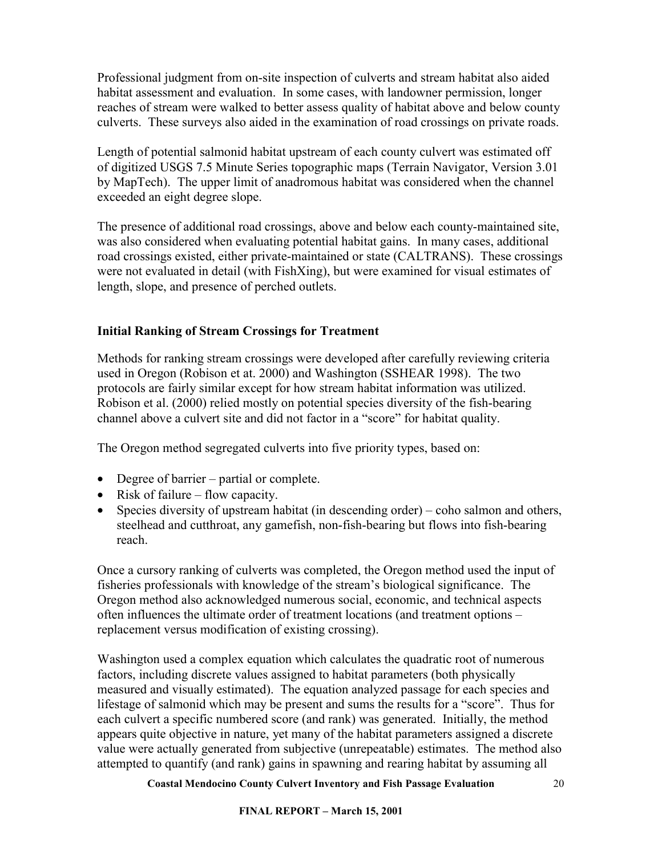<span id="page-19-0"></span>Professional judgment from on-site inspection of culverts and stream habitat also aided habitat assessment and evaluation. In some cases, with landowner permission, longer reaches of stream were walked to better assess quality of habitat above and below county culverts. These surveys also aided in the examination of road crossings on private roads.

Length of potential salmonid habitat upstream of each county culvert was estimated off of digitized USGS 7.5 Minute Series topographic maps (Terrain Navigator, Version 3.01 by MapTech). The upper limit of anadromous habitat was considered when the channel exceeded an eight degree slope.

The presence of additional road crossings, above and below each county-maintained site, was also considered when evaluating potential habitat gains. In many cases, additional road crossings existed, either private-maintained or state (CALTRANS). These crossings were not evaluated in detail (with FishXing), but were examined for visual estimates of length, slope, and presence of perched outlets.

## **Initial Ranking of Stream Crossings for Treatment**

Methods for ranking stream crossings were developed after carefully reviewing criteria used in Oregon (Robison et at. 2000) and Washington (SSHEAR 1998). The two protocols are fairly similar except for how stream habitat information was utilized. Robison et al. (2000) relied mostly on potential species diversity of the fish-bearing channel above a culvert site and did not factor in a "score" for habitat quality.

The Oregon method segregated culverts into five priority types, based on:

- Degree of barrier partial or complete.
- Risk of failure flow capacity.
- Species diversity of upstream habitat (in descending order) coho salmon and others, steelhead and cutthroat, any gamefish, non-fish-bearing but flows into fish-bearing reach.

Once a cursory ranking of culverts was completed, the Oregon method used the input of fisheries professionals with knowledge of the stream's biological significance. The Oregon method also acknowledged numerous social, economic, and technical aspects often influences the ultimate order of treatment locations (and treatment options – replacement versus modification of existing crossing).

Washington used a complex equation which calculates the quadratic root of numerous factors, including discrete values assigned to habitat parameters (both physically measured and visually estimated). The equation analyzed passage for each species and lifestage of salmonid which may be present and sums the results for a "score". Thus for each culvert a specific numbered score (and rank) was generated. Initially, the method appears quite objective in nature, yet many of the habitat parameters assigned a discrete value were actually generated from subjective (unrepeatable) estimates. The method also attempted to quantify (and rank) gains in spawning and rearing habitat by assuming all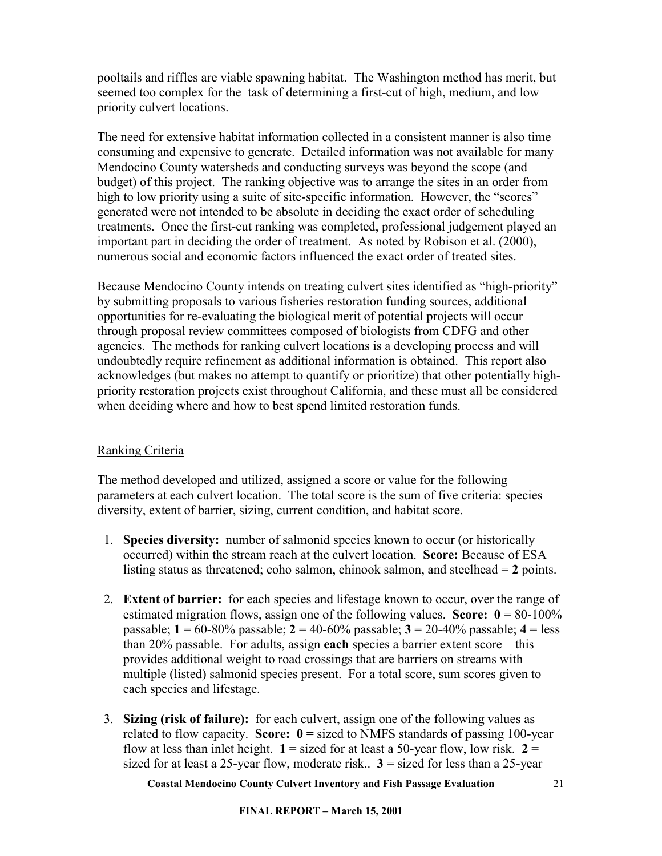<span id="page-20-0"></span>pooltails and riffles are viable spawning habitat. The Washington method has merit, but seemed too complex for the task of determining a first-cut of high, medium, and low priority culvert locations.

The need for extensive habitat information collected in a consistent manner is also time consuming and expensive to generate. Detailed information was not available for many Mendocino County watersheds and conducting surveys was beyond the scope (and budget) of this project. The ranking objective was to arrange the sites in an order from high to low priority using a suite of site-specific information. However, the "scores" generated were not intended to be absolute in deciding the exact order of scheduling treatments. Once the first-cut ranking was completed, professional judgement played an important part in deciding the order of treatment. As noted by Robison et al. (2000), numerous social and economic factors influenced the exact order of treated sites.

Because Mendocino County intends on treating culvert sites identified as "high-priority" by submitting proposals to various fisheries restoration funding sources, additional opportunities for re-evaluating the biological merit of potential projects will occur through proposal review committees composed of biologists from CDFG and other agencies. The methods for ranking culvert locations is a developing process and will undoubtedly require refinement as additional information is obtained. This report also acknowledges (but makes no attempt to quantify or prioritize) that other potentially highpriority restoration projects exist throughout California, and these must all be considered when deciding where and how to best spend limited restoration funds.

## Ranking Criteria

The method developed and utilized, assigned a score or value for the following parameters at each culvert location. The total score is the sum of five criteria: species diversity, extent of barrier, sizing, current condition, and habitat score.

- 1. **Species diversity:** number of salmonid species known to occur (or historically occurred) within the stream reach at the culvert location. **Score:** Because of ESA listing status as threatened; coho salmon, chinook salmon, and steelhead = **2** points.
- 2. **Extent of barrier:** for each species and lifestage known to occur, over the range of estimated migration flows, assign one of the following values. **Score:**  $0 = 80-100\%$ passable; **1** = 60-80% passable; **2** = 40-60% passable; **3** = 20-40% passable; **4** = less than 20% passable. For adults, assign **each** species a barrier extent score – this provides additional weight to road crossings that are barriers on streams with multiple (listed) salmonid species present. For a total score, sum scores given to each species and lifestage.
- 3. **Sizing (risk of failure):** for each culvert, assign one of the following values as related to flow capacity. **Score: 0 =** sized to NMFS standards of passing 100-year flow at less than inlet height.  $1 =$  sized for at least a 50-year flow, low risk.  $2 =$ sized for at least a 25-year flow, moderate risk..  $3 =$  sized for less than a 25-year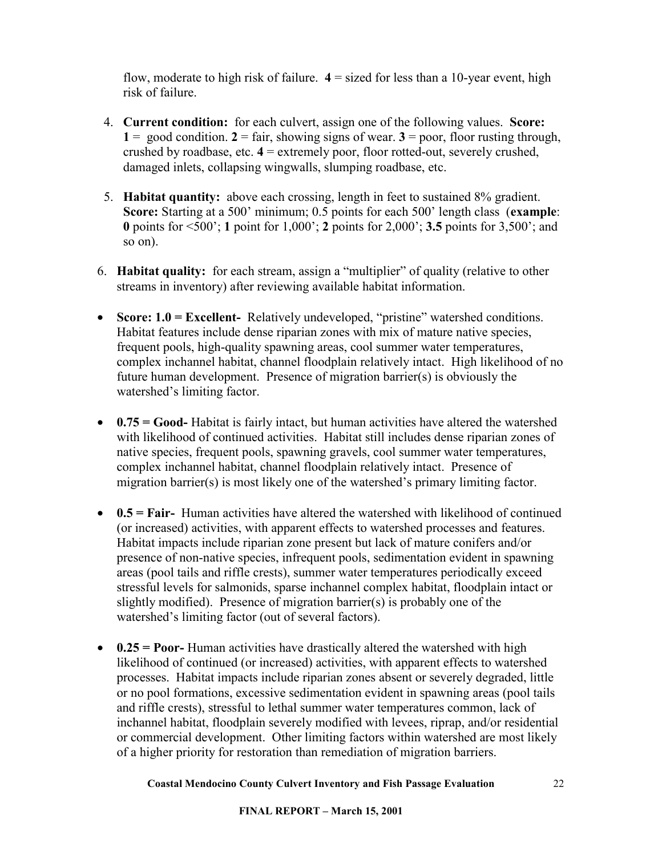flow, moderate to high risk of failure. **4** = sized for less than a 10-year event, high risk of failure.

- 4. **Current condition:** for each culvert, assign one of the following values. **Score:**  1 = good condition.  $2 = \text{fair}$ , showing signs of wear.  $3 = \text{poor}$ , floor rusting through, crushed by roadbase, etc. **4** = extremely poor, floor rotted-out, severely crushed, damaged inlets, collapsing wingwalls, slumping roadbase, etc.
- 5. **Habitat quantity:** above each crossing, length in feet to sustained 8% gradient. **Score:** Starting at a 500' minimum; 0.5 points for each 500' length class (**example**: **0** points for <500'; **1** point for 1,000'; **2** points for 2,000'; **3.5** points for 3,500'; and so on).
- 6. **Habitat quality:** for each stream, assign a "multiplier" of quality (relative to other streams in inventory) after reviewing available habitat information.
- **Score: 1.0 = Excellent-** Relatively undeveloped, "pristine" watershed conditions. Habitat features include dense riparian zones with mix of mature native species, frequent pools, high-quality spawning areas, cool summer water temperatures, complex inchannel habitat, channel floodplain relatively intact. High likelihood of no future human development. Presence of migration barrier(s) is obviously the watershed's limiting factor.
- 0.75 = Good- Habitat is fairly intact, but human activities have altered the watershed with likelihood of continued activities. Habitat still includes dense riparian zones of native species, frequent pools, spawning gravels, cool summer water temperatures, complex inchannel habitat, channel floodplain relatively intact. Presence of migration barrier(s) is most likely one of the watershed's primary limiting factor.
- **0.5 = Fair-** Human activities have altered the watershed with likelihood of continued (or increased) activities, with apparent effects to watershed processes and features. Habitat impacts include riparian zone present but lack of mature conifers and/or presence of non-native species, infrequent pools, sedimentation evident in spawning areas (pool tails and riffle crests), summer water temperatures periodically exceed stressful levels for salmonids, sparse inchannel complex habitat, floodplain intact or slightly modified). Presence of migration barrier(s) is probably one of the watershed's limiting factor (out of several factors).
- 0.25 = **Poor-** Human activities have drastically altered the watershed with high likelihood of continued (or increased) activities, with apparent effects to watershed processes. Habitat impacts include riparian zones absent or severely degraded, little or no pool formations, excessive sedimentation evident in spawning areas (pool tails and riffle crests), stressful to lethal summer water temperatures common, lack of inchannel habitat, floodplain severely modified with levees, riprap, and/or residential or commercial development. Other limiting factors within watershed are most likely of a higher priority for restoration than remediation of migration barriers.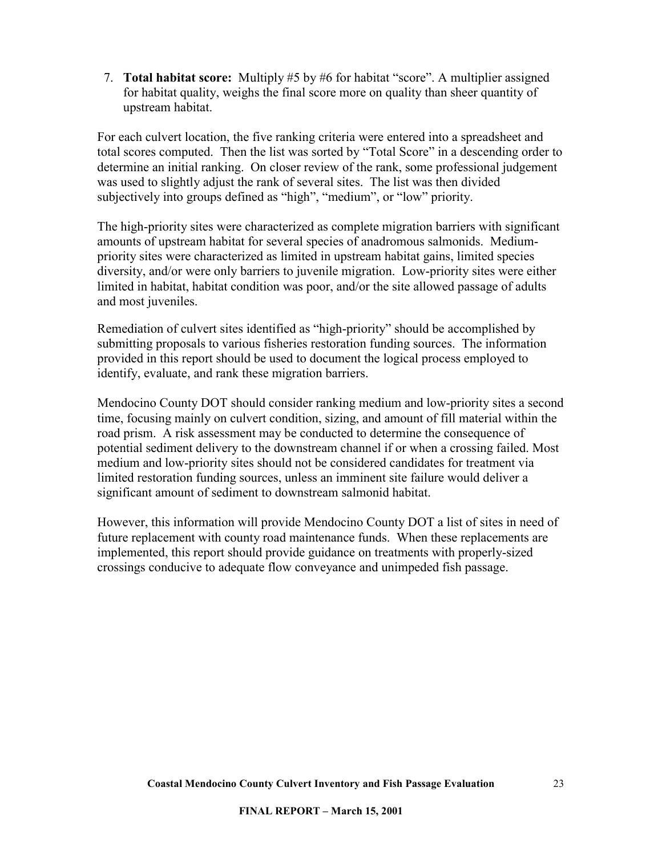7. **Total habitat score:** Multiply #5 by #6 for habitat "score". A multiplier assigned for habitat quality, weighs the final score more on quality than sheer quantity of upstream habitat.

For each culvert location, the five ranking criteria were entered into a spreadsheet and total scores computed. Then the list was sorted by "Total Score" in a descending order to determine an initial ranking. On closer review of the rank, some professional judgement was used to slightly adjust the rank of several sites. The list was then divided subjectively into groups defined as "high", "medium", or "low" priority.

The high-priority sites were characterized as complete migration barriers with significant amounts of upstream habitat for several species of anadromous salmonids. Mediumpriority sites were characterized as limited in upstream habitat gains, limited species diversity, and/or were only barriers to juvenile migration. Low-priority sites were either limited in habitat, habitat condition was poor, and/or the site allowed passage of adults and most juveniles.

Remediation of culvert sites identified as "high-priority" should be accomplished by submitting proposals to various fisheries restoration funding sources. The information provided in this report should be used to document the logical process employed to identify, evaluate, and rank these migration barriers.

Mendocino County DOT should consider ranking medium and low-priority sites a second time, focusing mainly on culvert condition, sizing, and amount of fill material within the road prism. A risk assessment may be conducted to determine the consequence of potential sediment delivery to the downstream channel if or when a crossing failed. Most medium and low-priority sites should not be considered candidates for treatment via limited restoration funding sources, unless an imminent site failure would deliver a significant amount of sediment to downstream salmonid habitat.

However, this information will provide Mendocino County DOT a list of sites in need of future replacement with county road maintenance funds. When these replacements are implemented, this report should provide guidance on treatments with properly-sized crossings conducive to adequate flow conveyance and unimpeded fish passage.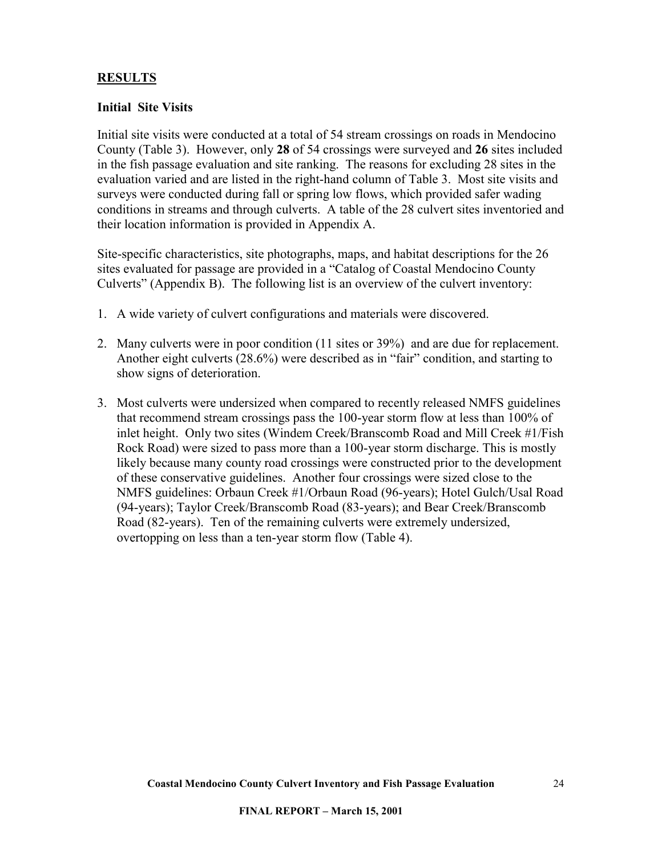## <span id="page-23-0"></span>**RESULTS**

#### **Initial Site Visits**

Initial site visits were conducted at a total of 54 stream crossings on roads in Mendocino County (Table 3). However, only **28** of 54 crossings were surveyed and **26** sites included in the fish passage evaluation and site ranking. The reasons for excluding 28 sites in the evaluation varied and are listed in the right-hand column of Table 3. Most site visits and surveys were conducted during fall or spring low flows, which provided safer wading conditions in streams and through culverts. A table of the 28 culvert sites inventoried and their location information is provided in Appendix A.

Site-specific characteristics, site photographs, maps, and habitat descriptions for the 26 sites evaluated for passage are provided in a "Catalog of Coastal Mendocino County Culverts" (Appendix B). The following list is an overview of the culvert inventory:

- 1. A wide variety of culvert configurations and materials were discovered.
- 2. Many culverts were in poor condition (11 sites or 39%) and are due for replacement. Another eight culverts (28.6%) were described as in "fair" condition, and starting to show signs of deterioration.
- 3. Most culverts were undersized when compared to recently released NMFS guidelines that recommend stream crossings pass the 100-year storm flow at less than 100% of inlet height. Only two sites (Windem Creek/Branscomb Road and Mill Creek #1/Fish Rock Road) were sized to pass more than a 100-year storm discharge. This is mostly likely because many county road crossings were constructed prior to the development of these conservative guidelines. Another four crossings were sized close to the NMFS guidelines: Orbaun Creek #1/Orbaun Road (96-years); Hotel Gulch/Usal Road (94-years); Taylor Creek/Branscomb Road (83-years); and Bear Creek/Branscomb Road (82-years). Ten of the remaining culverts were extremely undersized, overtopping on less than a ten-year storm flow (Table 4).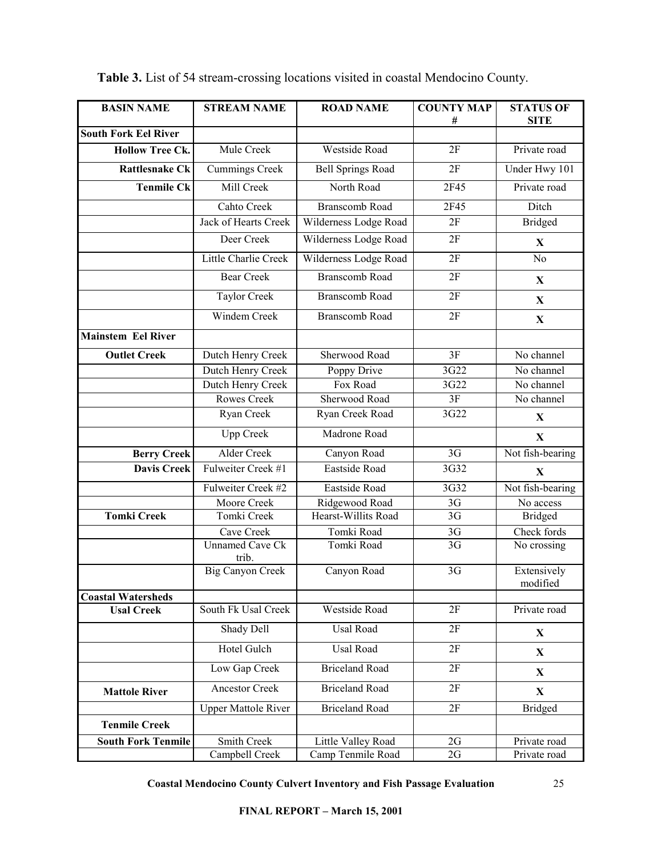| <b>BASIN NAME</b>           | <b>STREAM NAME</b>          | <b>ROAD NAME</b>             | <b>COUNTY MAP</b> | <b>STATUS OF</b>        |
|-----------------------------|-----------------------------|------------------------------|-------------------|-------------------------|
| <b>South Fork Eel River</b> |                             |                              | #                 | <b>SITE</b>             |
| <b>Hollow Tree Ck.</b>      | Mule Creek                  | Westside Road                | 2F                | Private road            |
| <b>Rattlesnake Ck</b>       | <b>Cummings Creek</b>       | <b>Bell Springs Road</b>     | 2F                | Under Hwy 101           |
|                             | Mill Creek                  |                              |                   |                         |
| <b>Tenmile Ck</b>           |                             | North Road                   | 2F45              | Private road            |
|                             | Cahto Creek                 | <b>Branscomb Road</b>        | 2F45              | Ditch                   |
|                             | <b>Jack of Hearts Creek</b> | Wilderness Lodge Road        | 2F                | <b>Bridged</b>          |
|                             | Deer Creek                  | Wilderness Lodge Road        | 2F                | X                       |
|                             | Little Charlie Creek        | Wilderness Lodge Road        | 2F                | No                      |
|                             | <b>Bear Creek</b>           | <b>Branscomb Road</b>        | 2F                | $\mathbf X$             |
|                             | <b>Taylor Creek</b>         | <b>Branscomb Road</b>        | 2F                | $\mathbf X$             |
|                             | Windem Creek                | <b>Branscomb Road</b>        | 2F                | $\mathbf X$             |
| <b>Mainstem Eel River</b>   |                             |                              |                   |                         |
| <b>Outlet Creek</b>         | Dutch Henry Creek           | Sherwood Road                | 3F                | No channel              |
|                             | Dutch Henry Creek           | Poppy Drive                  | 3G22              | No channel              |
|                             | Dutch Henry Creek           | Fox Road                     | 3G22              | No channel              |
|                             | Rowes Creek                 | Sherwood Road                | 3F                | No channel              |
|                             | Ryan Creek                  | Ryan Creek Road              | 3G22              | X                       |
|                             | <b>Upp Creek</b>            | Madrone Road                 |                   | $\mathbf X$             |
| <b>Berry Creek</b>          | <b>Alder Creek</b>          | Canyon Road                  | 3G                | Not fish-bearing        |
| Davis Creek                 | Fulweiter Creek #1          | <b>Eastside Road</b><br>3G32 |                   | X                       |
|                             | Fulweiter Creek #2          | 3G32<br>Eastside Road        |                   | Not fish-bearing        |
|                             | Moore Creek                 | Ridgewood Road               | 3G                | No access               |
| <b>Tomki Creek</b>          | Tomki Creek                 | Hearst-Willits Road          | $\overline{3G}$   | <b>Bridged</b>          |
|                             | Cave Creek                  | Tomki Road                   | 3G                | Check fords             |
|                             | Unnamed Cave Ck<br>trib.    | Tomki Road                   | 3G                | No crossing             |
|                             | <b>Big Canyon Creek</b>     | Canyon Road                  | 3G                | Extensively<br>modified |
| <b>Coastal Watersheds</b>   |                             |                              |                   |                         |
| <b>Usal Creek</b>           | South Fk Usal Creek         | Westside Road                | 2F                | Private road            |
|                             | Shady Dell                  | <b>Usal Road</b>             | 2F                | X                       |
|                             | Hotel Gulch                 | Usal Road                    | 2F                | X                       |
|                             | Low Gap Creek               | <b>Briceland Road</b>        | 2F                | X                       |
| <b>Mattole River</b>        | <b>Ancestor Creek</b>       | <b>Briceland Road</b>        | 2F                | $\mathbf{X}$            |
|                             | <b>Upper Mattole River</b>  | <b>Briceland Road</b>        | 2F                | <b>Bridged</b>          |
| <b>Tenmile Creek</b>        |                             |                              |                   |                         |
| <b>South Fork Tenmile</b>   | Smith Creek                 | Little Valley Road           | 2G                | Private road            |
|                             | Campbell Creek              | Camp Tenmile Road            | 2G                | Private road            |

**Table 3.** List of 54 stream-crossing locations visited in coastal Mendocino County.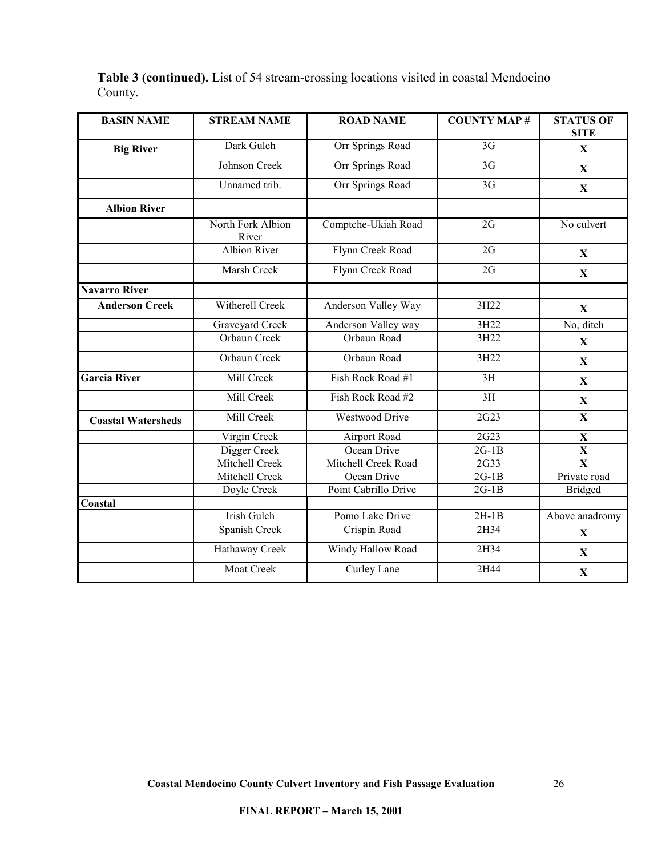# **Table 3 (continued).** List of 54 stream-crossing locations visited in coastal Mendocino County.

| <b>BASIN NAME</b>         | <b>STREAM NAME</b>         | <b>ROAD NAME</b>      | <b>COUNTY MAP#</b> | <b>STATUS OF</b><br><b>SITE</b> |
|---------------------------|----------------------------|-----------------------|--------------------|---------------------------------|
| <b>Big River</b>          | Dark Gulch                 | Orr Springs Road      | 3G                 | $\mathbf X$                     |
|                           | Johnson Creek              | Orr Springs Road      | $\overline{3G}$    | $\mathbf X$                     |
|                           | Unnamed trib.              | Orr Springs Road      | $\overline{3G}$    | $\mathbf X$                     |
| <b>Albion River</b>       |                            |                       |                    |                                 |
|                           | North Fork Albion<br>River | Comptche-Ukiah Road   | 2G                 | No culvert                      |
|                           | <b>Albion River</b>        | Flynn Creek Road      | $\overline{2G}$    | X                               |
|                           | Marsh Creek                | Flynn Creek Road      | 2G                 | X                               |
| <b>Navarro River</b>      |                            |                       |                    |                                 |
| <b>Anderson Creek</b>     | <b>Witherell Creek</b>     | Anderson Valley Way   | 3H22               | $\mathbf X$                     |
|                           | Graveyard Creek            | Anderson Valley way   | 3H22               | No, ditch                       |
|                           | Orbaun Creek               | Orbaun Road           | 3H22               | $\mathbf X$                     |
|                           | Orbaun Creek               | Orbaun Road           | 3H22               | $\mathbf X$                     |
| <b>Garcia River</b>       | Mill Creek                 | Fish Rock Road #1     | 3H                 | X                               |
|                           | Mill Creek                 | Fish Rock Road #2     | $\overline{3H}$    | $\mathbf X$                     |
| <b>Coastal Watersheds</b> | Mill Creek                 | <b>Westwood Drive</b> | 2G23               | $\mathbf X$                     |
|                           | Virgin Creek               | Airport Road          | 2G23               | $\mathbf X$                     |
|                           | Digger Creek               | Ocean Drive           | $2G-1B$            | $\mathbf X$                     |
|                           | Mitchell Creek             | Mitchell Creek Road   | 2G33               | $\overline{\mathbf{X}}$         |
|                           | Mitchell Creek             | Ocean Drive           | $2G-1B$            | Private road                    |
|                           | Doyle Creek                | Point Cabrillo Drive  | $2G-1B$            | <b>Bridged</b>                  |
| Coastal                   |                            |                       |                    |                                 |
|                           | <b>Irish Gulch</b>         | Pomo Lake Drive       | $2H-1B$            | Above anadromy                  |
|                           | Spanish Creek              | Crispin Road          | 2H34               | $\mathbf{X}$                    |
|                           | Hathaway Creek             | Windy Hallow Road     | 2H34               | $\mathbf X$                     |
|                           | <b>Moat Creek</b>          | Curley Lane           | 2H44               | $\mathbf X$                     |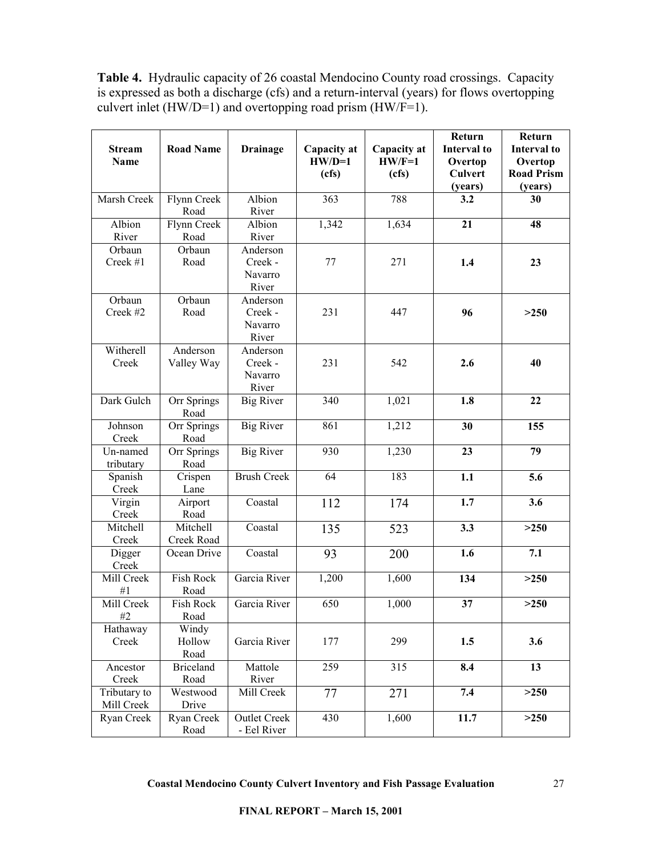**Table 4.** Hydraulic capacity of 26 coastal Mendocino County road crossings. Capacity is expressed as both a discharge (cfs) and a return-interval (years) for flows overtopping culvert inlet (HW/D=1) and overtopping road prism (HW/F=1).

| <b>Stream</b><br>Name | <b>Road Name</b>    | <b>Drainage</b>     | Capacity at<br>$HW/D=1$<br>(cfs) | Capacity at<br>$HW/F=1$<br>(cfs) | Return<br>Interval to<br>Overtop<br><b>Culvert</b> | Return<br><b>Interval</b> to<br>Overtop<br><b>Road Prism</b> |
|-----------------------|---------------------|---------------------|----------------------------------|----------------------------------|----------------------------------------------------|--------------------------------------------------------------|
|                       |                     |                     |                                  |                                  | (years)                                            | (years)                                                      |
| Marsh Creek           | Flynn Creek<br>Road | Albion<br>River     | 363                              | 788                              | 3.2                                                | 30                                                           |
| Albion                | Flynn Creek         | Albion              | 1,342                            | 1,634                            | 21                                                 | 48                                                           |
| River                 | Road                | River               |                                  |                                  |                                                    |                                                              |
| Orbaun                | Orbaun              | Anderson            |                                  |                                  |                                                    |                                                              |
| Creek #1              | Road                | Creek -             | 77                               | 271                              | 1.4                                                | 23                                                           |
|                       |                     | Navarro             |                                  |                                  |                                                    |                                                              |
|                       |                     | River               |                                  |                                  |                                                    |                                                              |
| Orbaun                | Orbaun              | Anderson            |                                  |                                  |                                                    |                                                              |
| Creek #2              | Road                | Creek -             | 231                              | 447                              | 96                                                 | >250                                                         |
|                       |                     | Navarro             |                                  |                                  |                                                    |                                                              |
|                       |                     | River               |                                  |                                  |                                                    |                                                              |
| Witherell             | Anderson            | Anderson            |                                  |                                  |                                                    |                                                              |
| Creek                 | Valley Way          | Creek -             | 231                              | 542                              | 2.6                                                | 40                                                           |
|                       |                     | Navarro             |                                  |                                  |                                                    |                                                              |
|                       |                     | River               |                                  |                                  |                                                    |                                                              |
| Dark Gulch            | Orr Springs         | <b>Big River</b>    | 340                              | 1,021                            | 1.8                                                | 22                                                           |
|                       | Road                |                     |                                  |                                  |                                                    |                                                              |
| Johnson               | Orr Springs         | <b>Big River</b>    | 861                              | 1,212                            | 30                                                 | 155                                                          |
| Creek                 | Road                |                     |                                  |                                  |                                                    |                                                              |
| Un-named              | Orr Springs         | <b>Big River</b>    | 930                              | 1,230                            | 23                                                 | 79                                                           |
| tributary             | Road                |                     |                                  |                                  |                                                    |                                                              |
| Spanish               | Crispen             | <b>Brush Creek</b>  | 64                               | 183                              | 1.1                                                | 5.6                                                          |
| Creek                 | Lane                |                     |                                  |                                  |                                                    |                                                              |
| Virgin                | Airport             | Coastal             | 112                              | 174                              | 1.7                                                | 3.6                                                          |
| Creek                 | Road                |                     |                                  |                                  |                                                    |                                                              |
| Mitchell              | Mitchell            | Coastal             | 135                              | 523                              | 3.3                                                | >250                                                         |
| Creek                 | Creek Road          |                     |                                  |                                  |                                                    |                                                              |
| Digger                | Ocean Drive         | Coastal             | 93                               | 200                              | 1.6                                                | 7.1                                                          |
| Creek                 |                     |                     |                                  |                                  |                                                    |                                                              |
| Mill Creek            | Fish Rock           | Garcia River        | 1,200                            | 1,600                            | 134                                                | >250                                                         |
| #1                    | Road                |                     |                                  |                                  |                                                    |                                                              |
| Mill Creek            | <b>Fish Rock</b>    | Garcia River        | 650                              | 1,000                            | 37                                                 | >250                                                         |
| #2                    | Road                |                     |                                  |                                  |                                                    |                                                              |
| Hathaway              | Windy               |                     |                                  |                                  |                                                    |                                                              |
| Creek                 | Hollow              | Garcia River        | 177                              | 299                              | 1.5                                                | 3.6                                                          |
|                       | Road                |                     |                                  |                                  |                                                    |                                                              |
| Ancestor              | <b>Briceland</b>    | Mattole             | 259                              | $\overline{315}$                 | 8.4                                                | 13                                                           |
| Creek                 | Road                | River               |                                  |                                  |                                                    |                                                              |
| Tributary to          | Westwood            | Mill Creek          | 77                               | 271                              | 7.4                                                | >250                                                         |
| Mill Creek            | Drive               |                     |                                  |                                  |                                                    |                                                              |
| Ryan Creek            | Ryan Creek          | <b>Outlet Creek</b> | 430                              | 1,600                            | 11.7                                               | >250                                                         |
|                       | Road                | - Eel River         |                                  |                                  |                                                    |                                                              |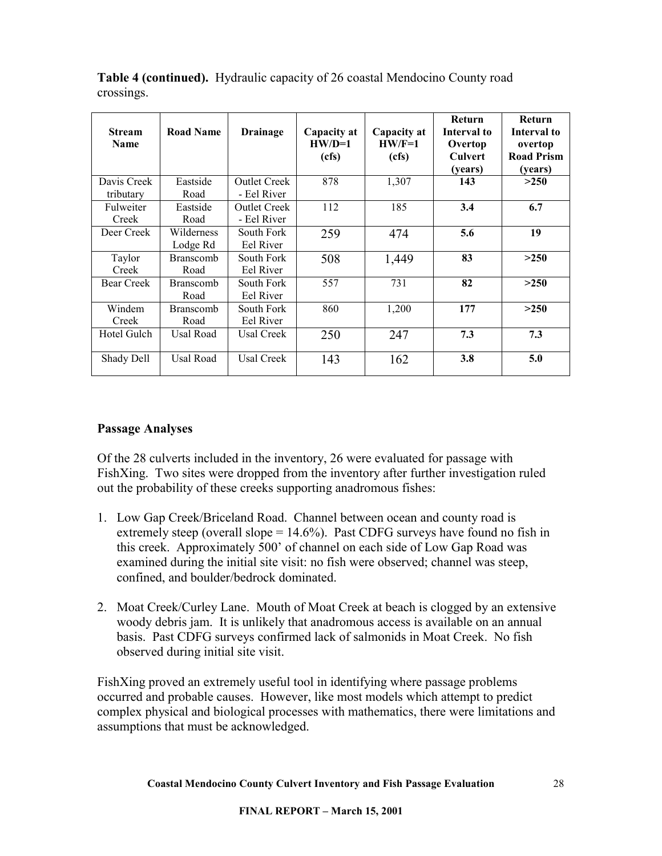| <b>Stream</b><br>Name    | <b>Road Name</b>         | Drainage                           | Capacity at<br>$HW/D=1$<br>(cfs) | Capacity at<br>$HW/F=1$<br>(cfs) | Return<br>Interval to<br>Overtop<br>Culvert<br>(years) | <b>Return</b><br>Interval to<br>overtop<br><b>Road Prism</b><br>(years) |
|--------------------------|--------------------------|------------------------------------|----------------------------------|----------------------------------|--------------------------------------------------------|-------------------------------------------------------------------------|
| Davis Creek<br>tributary | Eastside<br>Road         | Outlet Creek<br>- Eel River        | 878                              | 1,307                            | 143                                                    | >250                                                                    |
| Fulweiter<br>Creek       | Eastside<br>Road         | <b>Outlet Creek</b><br>- Eel River | 112                              | 185                              | 3.4                                                    | 6.7                                                                     |
| Deer Creek               | Wilderness<br>Lodge Rd   | South Fork<br>Eel River            | 259                              | 474                              | 5.6                                                    | 19                                                                      |
| Taylor<br>Creek          | <b>Branscomb</b><br>Road | South Fork<br>Eel River            | 508                              | 1,449                            | 83                                                     | >250                                                                    |
| <b>Bear Creek</b>        | <b>Branscomb</b><br>Road | South Fork<br>Eel River            | 557                              | 731                              | 82                                                     | >250                                                                    |
| Windem<br>Creek          | <b>Branscomb</b><br>Road | South Fork<br>Eel River            | 860                              | 1,200                            | 177                                                    | >250                                                                    |
| Hotel Gulch              | Usal Road                | Usal Creek                         | 250                              | 247                              | 7.3                                                    | 7.3                                                                     |
| Shady Dell               | Usal Road                | Usal Creek                         | 143                              | 162                              | 3.8                                                    | 5.0                                                                     |

<span id="page-27-0"></span>**Table 4 (continued).** Hydraulic capacity of 26 coastal Mendocino County road crossings.

### **Passage Analyses**

Of the 28 culverts included in the inventory, 26 were evaluated for passage with FishXing. Two sites were dropped from the inventory after further investigation ruled out the probability of these creeks supporting anadromous fishes:

- 1. Low Gap Creek/Briceland Road. Channel between ocean and county road is extremely steep (overall slope  $= 14.6\%$ ). Past CDFG surveys have found no fish in this creek. Approximately 500' of channel on each side of Low Gap Road was examined during the initial site visit: no fish were observed; channel was steep, confined, and boulder/bedrock dominated.
- 2. Moat Creek/Curley Lane. Mouth of Moat Creek at beach is clogged by an extensive woody debris jam. It is unlikely that anadromous access is available on an annual basis. Past CDFG surveys confirmed lack of salmonids in Moat Creek. No fish observed during initial site visit.

FishXing proved an extremely useful tool in identifying where passage problems occurred and probable causes. However, like most models which attempt to predict complex physical and biological processes with mathematics, there were limitations and assumptions that must be acknowledged.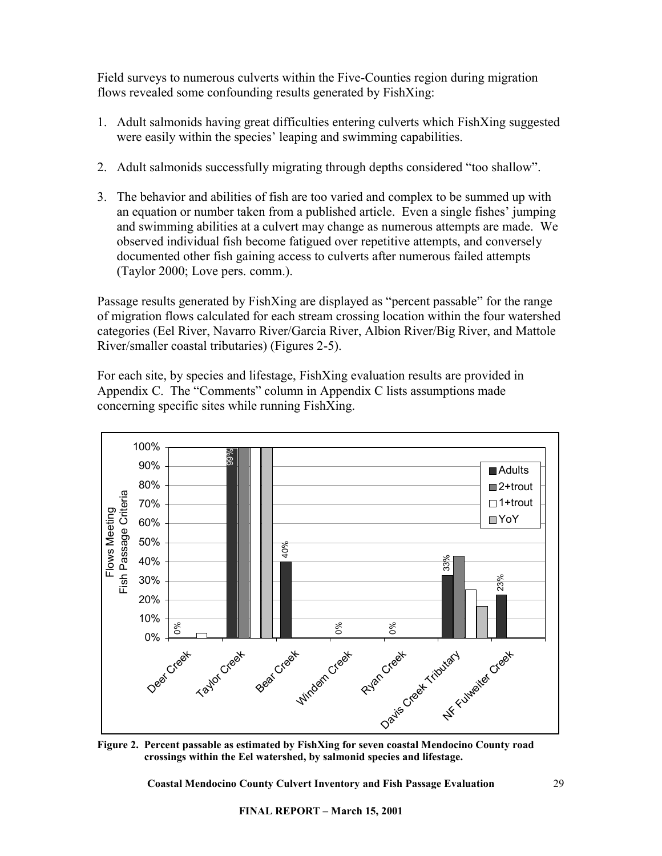Field surveys to numerous culverts within the Five-Counties region during migration flows revealed some confounding results generated by FishXing:

- 1. Adult salmonids having great difficulties entering culverts which FishXing suggested were easily within the species' leaping and swimming capabilities.
- 2. Adult salmonids successfully migrating through depths considered "too shallow".
- 3. The behavior and abilities of fish are too varied and complex to be summed up with an equation or number taken from a published article. Even a single fishes' jumping and swimming abilities at a culvert may change as numerous attempts are made. We observed individual fish become fatigued over repetitive attempts, and conversely documented other fish gaining access to culverts after numerous failed attempts (Taylor 2000; Love pers. comm.).

Passage results generated by FishXing are displayed as "percent passable" for the range of migration flows calculated for each stream crossing location within the four watershed categories (Eel River, Navarro River/Garcia River, Albion River/Big River, and Mattole River/smaller coastal tributaries) (Figures 2-5).

For each site, by species and lifestage, FishXing evaluation results are provided in Appendix C. The "Comments" column in Appendix C lists assumptions made concerning specific sites while running FishXing.



**Figure 2. Percent passable as estimated by FishXing for seven coastal Mendocino County road crossings within the Eel watershed, by salmonid species and lifestage.**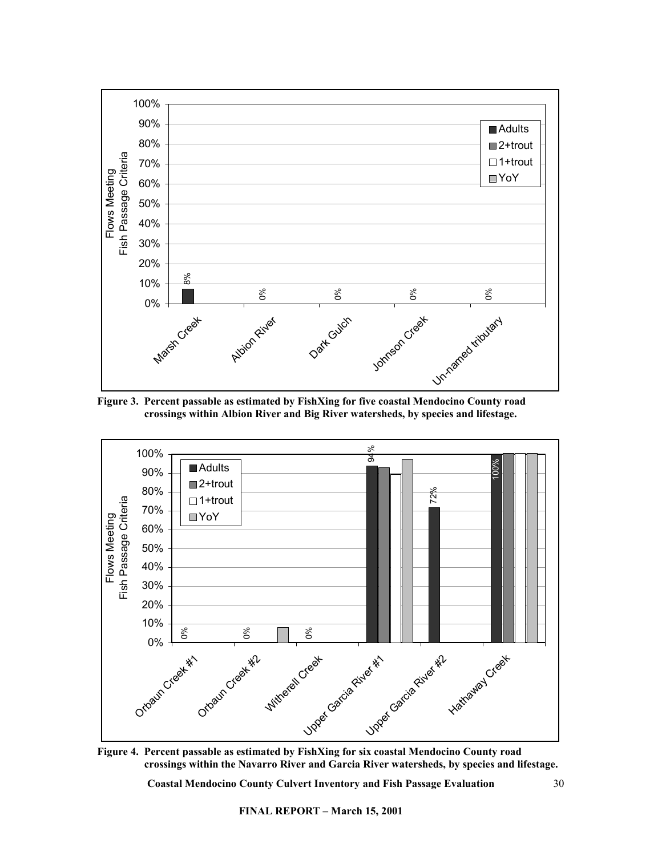

**Figure 3. Percent passable as estimated by FishXing for five coastal Mendocino County road crossings within Albion River and Big River watersheds, by species and lifestage.** 



**Figure 4. Percent passable as estimated by FishXing for six coastal Mendocino County road crossings within the Navarro River and Garcia River watersheds, by species and lifestage.**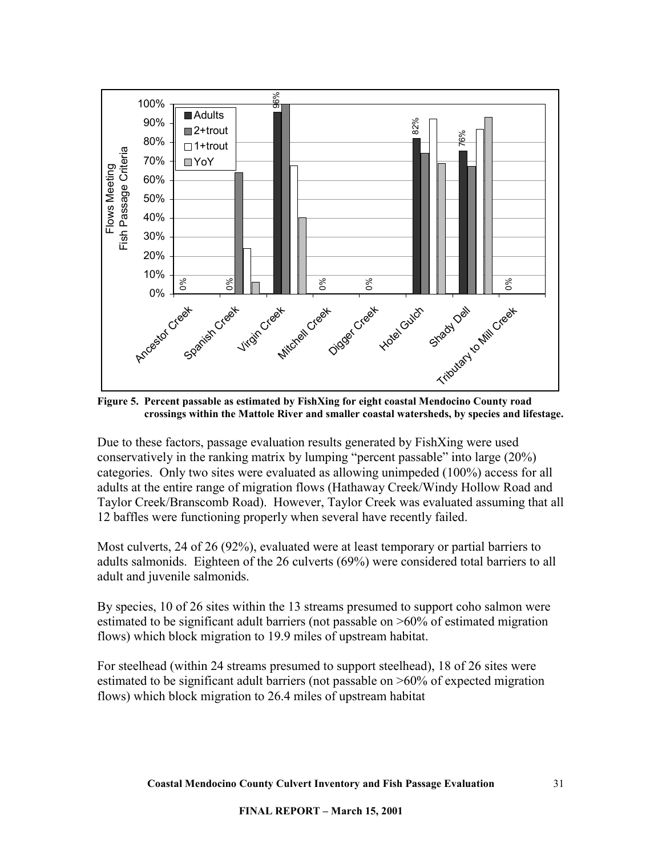

**Figure 5. Percent passable as estimated by FishXing for eight coastal Mendocino County road crossings within the Mattole River and smaller coastal watersheds, by species and lifestage.** 

Due to these factors, passage evaluation results generated by FishXing were used conservatively in the ranking matrix by lumping "percent passable" into large (20%) categories. Only two sites were evaluated as allowing unimpeded (100%) access for all adults at the entire range of migration flows (Hathaway Creek/Windy Hollow Road and Taylor Creek/Branscomb Road). However, Taylor Creek was evaluated assuming that all 12 baffles were functioning properly when several have recently failed.

Most culverts, 24 of 26 (92%), evaluated were at least temporary or partial barriers to adults salmonids. Eighteen of the 26 culverts (69%) were considered total barriers to all adult and juvenile salmonids.

By species, 10 of 26 sites within the 13 streams presumed to support coho salmon were estimated to be significant adult barriers (not passable on >60% of estimated migration flows) which block migration to 19.9 miles of upstream habitat.

For steelhead (within 24 streams presumed to support steelhead), 18 of 26 sites were estimated to be significant adult barriers (not passable on >60% of expected migration flows) which block migration to 26.4 miles of upstream habitat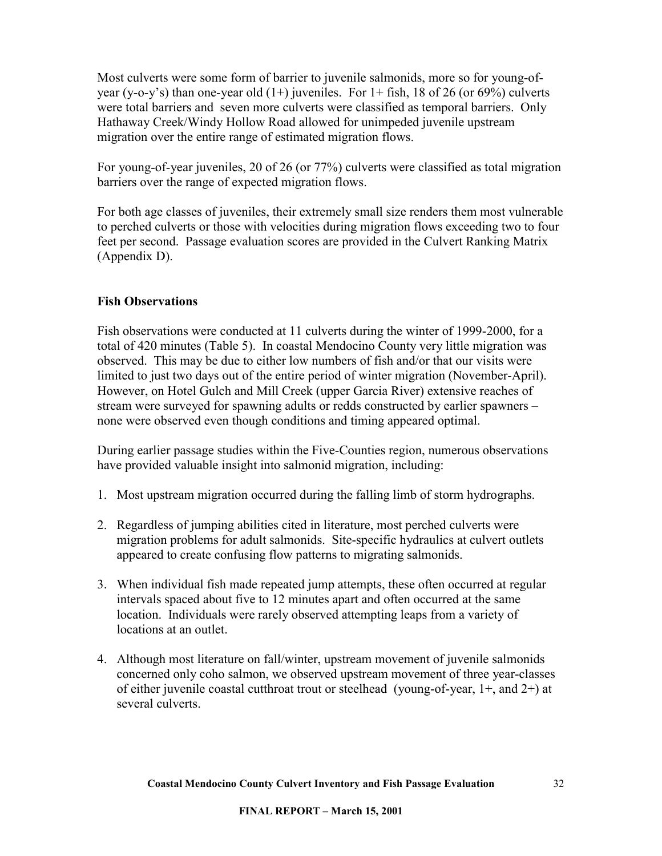<span id="page-31-0"></span>Most culverts were some form of barrier to juvenile salmonids, more so for young-ofyear (y-o-y's) than one-year old  $(1+)$  juveniles. For  $1+$  fish, 18 of 26 (or 69%) culverts were total barriers and seven more culverts were classified as temporal barriers. Only Hathaway Creek/Windy Hollow Road allowed for unimpeded juvenile upstream migration over the entire range of estimated migration flows.

For young-of-year juveniles, 20 of 26 (or 77%) culverts were classified as total migration barriers over the range of expected migration flows.

For both age classes of juveniles, their extremely small size renders them most vulnerable to perched culverts or those with velocities during migration flows exceeding two to four feet per second. Passage evaluation scores are provided in the Culvert Ranking Matrix (Appendix D).

## **Fish Observations**

Fish observations were conducted at 11 culverts during the winter of 1999-2000, for a total of 420 minutes (Table 5). In coastal Mendocino County very little migration was observed. This may be due to either low numbers of fish and/or that our visits were limited to just two days out of the entire period of winter migration (November-April). However, on Hotel Gulch and Mill Creek (upper Garcia River) extensive reaches of stream were surveyed for spawning adults or redds constructed by earlier spawners – none were observed even though conditions and timing appeared optimal.

During earlier passage studies within the Five-Counties region, numerous observations have provided valuable insight into salmonid migration, including:

- 1. Most upstream migration occurred during the falling limb of storm hydrographs.
- 2. Regardless of jumping abilities cited in literature, most perched culverts were migration problems for adult salmonids. Site-specific hydraulics at culvert outlets appeared to create confusing flow patterns to migrating salmonids.
- 3. When individual fish made repeated jump attempts, these often occurred at regular intervals spaced about five to 12 minutes apart and often occurred at the same location. Individuals were rarely observed attempting leaps from a variety of locations at an outlet.
- 4. Although most literature on fall/winter, upstream movement of juvenile salmonids concerned only coho salmon, we observed upstream movement of three year-classes of either juvenile coastal cutthroat trout or steelhead (young-of-year, 1+, and 2+) at several culverts.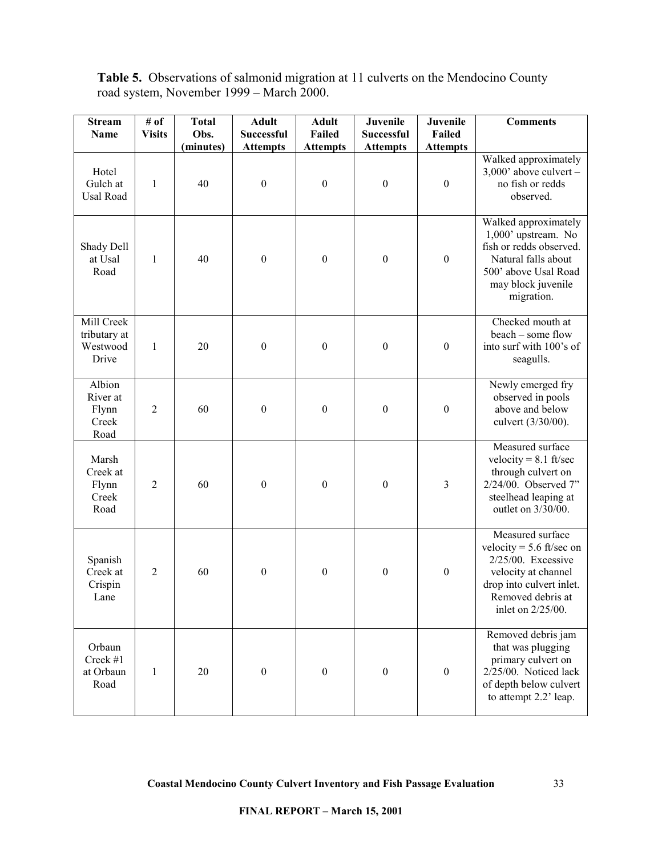| <b>Table 5.</b> Observations of salmonid migration at 11 culverts on the Mendocino County |  |  |  |  |
|-------------------------------------------------------------------------------------------|--|--|--|--|
| road system, November 1999 – March 2000.                                                  |  |  |  |  |

| <b>Stream</b><br><b>Name</b>                    | # of<br><b>Visits</b> | <b>Total</b><br>Obs. | <b>Adult</b><br>Successful | <b>Adult</b><br>Failed | Juvenile<br><b>Successful</b> | Juvenile<br><b>Failed</b> | <b>Comments</b>                                                                                                                                                   |
|-------------------------------------------------|-----------------------|----------------------|----------------------------|------------------------|-------------------------------|---------------------------|-------------------------------------------------------------------------------------------------------------------------------------------------------------------|
|                                                 |                       | (minutes)            | <b>Attempts</b>            | <b>Attempts</b>        | <b>Attempts</b>               | <b>Attempts</b>           |                                                                                                                                                                   |
| Hotel<br>Gulch at<br>Usal Road                  | $\mathbf{1}$          | 40                   | $\boldsymbol{0}$           | $\boldsymbol{0}$       | $\boldsymbol{0}$              | $\boldsymbol{0}$          | Walked approximately<br>$3,000$ ' above culvert -<br>no fish or redds<br>observed.                                                                                |
| Shady Dell<br>at Usal<br>Road                   | $\mathbf{1}$          | 40                   | $\boldsymbol{0}$           | $\boldsymbol{0}$       | $\boldsymbol{0}$              | $\boldsymbol{0}$          | Walked approximately<br>1,000' upstream. No<br>fish or redds observed.<br>Natural falls about<br>500' above Usal Road<br>may block juvenile<br>migration.         |
| Mill Creek<br>tributary at<br>Westwood<br>Drive | $\mathbf{1}$          | 20                   | $\boldsymbol{0}$           | $\boldsymbol{0}$       | $\boldsymbol{0}$              | $\boldsymbol{0}$          | Checked mouth at<br>beach - some flow<br>into surf with 100's of<br>seagulls.                                                                                     |
| Albion<br>River at<br>Flynn<br>Creek<br>Road    | $\overline{2}$        | 60                   | $\boldsymbol{0}$           | $\boldsymbol{0}$       | $\boldsymbol{0}$              | $\boldsymbol{0}$          | Newly emerged fry<br>observed in pools<br>above and below<br>culvert (3/30/00).                                                                                   |
| Marsh<br>Creek at<br>Flynn<br>Creek<br>Road     | $\overline{2}$        | 60                   | $\boldsymbol{0}$           | $\boldsymbol{0}$       | $\boldsymbol{0}$              | $\mathfrak{Z}$            | Measured surface<br>velocity = $8.1$ ft/sec<br>through culvert on<br>2/24/00. Observed 7"<br>steelhead leaping at<br>outlet on 3/30/00.                           |
| Spanish<br>Creek at<br>Crispin<br>Lane          | $\overline{2}$        | 60                   | $\boldsymbol{0}$           | $\boldsymbol{0}$       | $\boldsymbol{0}$              | $\boldsymbol{0}$          | Measured surface<br>velocity = $5.6$ ft/sec on<br>2/25/00. Excessive<br>velocity at channel<br>drop into culvert inlet.<br>Removed debris at<br>inlet on 2/25/00. |
| Orbaun<br>Creek #1<br>at Orbaun<br>Road         | 1                     | 20                   | $\boldsymbol{0}$           | $\boldsymbol{0}$       | $\boldsymbol{0}$              | $\boldsymbol{0}$          | Removed debris jam<br>that was plugging<br>primary culvert on<br>2/25/00. Noticed lack<br>of depth below culvert<br>to attempt 2.2' leap.                         |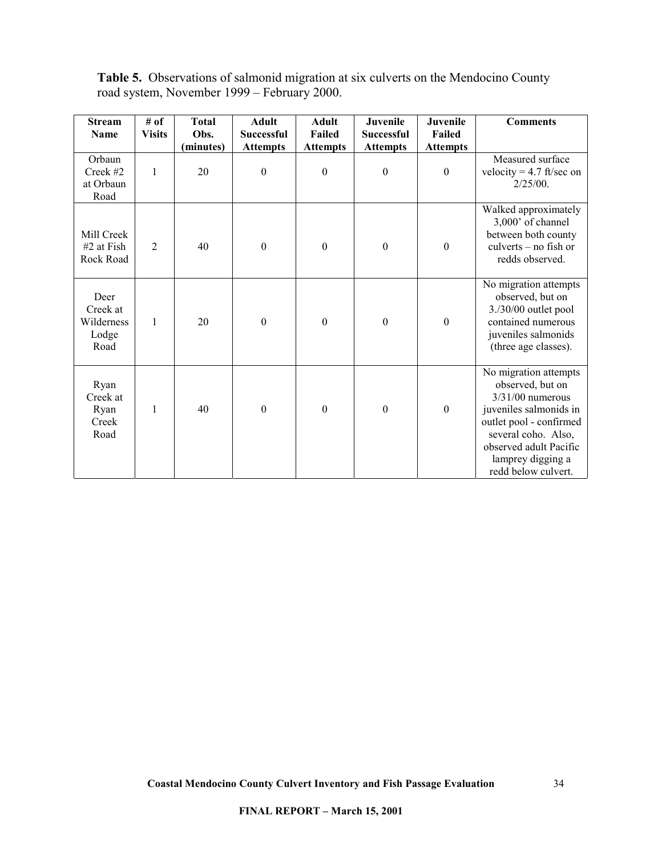|  |                                             |  | <b>Table 5.</b> Observations of salmonid migration at six culverts on the Mendocino County |  |
|--|---------------------------------------------|--|--------------------------------------------------------------------------------------------|--|
|  | road system, November 1999 – February 2000. |  |                                                                                            |  |

| <b>Stream</b><br><b>Name</b>                    | # of<br><b>Visits</b> | <b>Total</b><br>Obs. | <b>Adult</b><br><b>Successful</b> | <b>Adult</b><br><b>Failed</b> | Juvenile<br><b>Successful</b> | <b>Juvenile</b><br>Failed | <b>Comments</b>                                                                                                                                                                                                   |
|-------------------------------------------------|-----------------------|----------------------|-----------------------------------|-------------------------------|-------------------------------|---------------------------|-------------------------------------------------------------------------------------------------------------------------------------------------------------------------------------------------------------------|
|                                                 |                       | (minutes)            | <b>Attempts</b>                   | <b>Attempts</b>               | <b>Attempts</b>               | <b>Attempts</b>           |                                                                                                                                                                                                                   |
| Orbaun<br>Creek #2<br>at Orbaun<br>Road         | $\mathbf{1}$          | 20                   | $\boldsymbol{0}$                  | $\boldsymbol{0}$              | $\boldsymbol{0}$              | $\boldsymbol{0}$          | Measured surface<br>velocity = $4.7$ ft/sec on<br>$2/25/00$ .                                                                                                                                                     |
| Mill Creek<br>#2 at Fish<br>Rock Road           | $\overline{2}$        | 40                   | $\boldsymbol{0}$                  | $\boldsymbol{0}$              | $\boldsymbol{0}$              | $\boldsymbol{0}$          | Walked approximately<br>3,000' of channel<br>between both county<br>culverts - no fish or<br>redds observed.                                                                                                      |
| Deer<br>Creek at<br>Wilderness<br>Lodge<br>Road | 1                     | 20                   | $\boldsymbol{0}$                  | $\boldsymbol{0}$              | $\boldsymbol{0}$              | $\boldsymbol{0}$          | No migration attempts<br>observed, but on<br>3./30/00 outlet pool<br>contained numerous<br>juveniles salmonids<br>(three age classes).                                                                            |
| Ryan<br>Creek at<br>Ryan<br>Creek<br>Road       | 1                     | 40                   | $\boldsymbol{0}$                  | $\boldsymbol{0}$              | $\boldsymbol{0}$              | $\boldsymbol{0}$          | No migration attempts<br>observed, but on<br>$3/31/00$ numerous<br>juveniles salmonids in<br>outlet pool - confirmed<br>several coho. Also,<br>observed adult Pacific<br>lamprey digging a<br>redd below culvert. |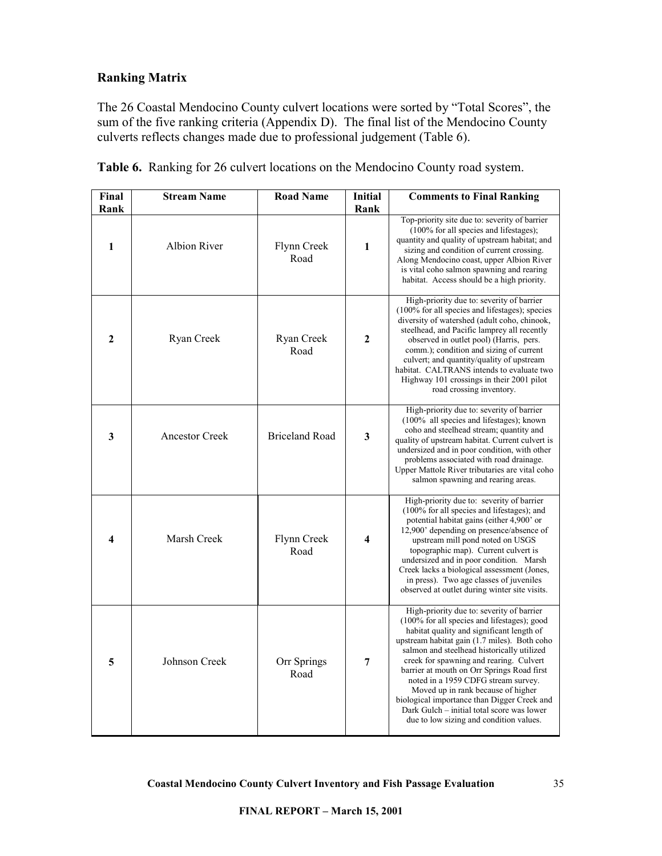## <span id="page-34-0"></span>**Ranking Matrix**

The 26 Coastal Mendocino County culvert locations were sorted by "Total Scores", the sum of the five ranking criteria (Appendix D). The final list of the Mendocino County culverts reflects changes made due to professional judgement (Table 6).

| Final        | <b>Stream Name</b>    | <b>Road Name</b>      | <b>Initial</b> | <b>Comments to Final Ranking</b>                                                                                                                                                                                                                                                                                                                                                                                                                                                                                                                  |
|--------------|-----------------------|-----------------------|----------------|---------------------------------------------------------------------------------------------------------------------------------------------------------------------------------------------------------------------------------------------------------------------------------------------------------------------------------------------------------------------------------------------------------------------------------------------------------------------------------------------------------------------------------------------------|
| Rank         |                       |                       | Rank           |                                                                                                                                                                                                                                                                                                                                                                                                                                                                                                                                                   |
| 1            | <b>Albion River</b>   | Flynn Creek<br>Road   | 1              | Top-priority site due to: severity of barrier<br>$(100\%$ for all species and lifestages);<br>quantity and quality of upstream habitat; and<br>sizing and condition of current crossing.<br>Along Mendocino coast, upper Albion River<br>is vital coho salmon spawning and rearing<br>habitat. Access should be a high priority.                                                                                                                                                                                                                  |
| $\mathbf{2}$ | Ryan Creek            | Ryan Creek<br>Road    | $\mathbf{2}$   | High-priority due to: severity of barrier<br>(100% for all species and lifestages); species<br>diversity of watershed (adult coho, chinook,<br>steelhead, and Pacific lamprey all recently<br>observed in outlet pool) (Harris, pers.<br>comm.); condition and sizing of current<br>culvert; and quantity/quality of upstream<br>habitat. CALTRANS intends to evaluate two<br>Highway 101 crossings in their 2001 pilot<br>road crossing inventory.                                                                                               |
| $\mathbf{3}$ | <b>Ancestor Creek</b> | <b>Briceland Road</b> | 3              | High-priority due to: severity of barrier<br>$(100\%$ all species and lifestages); known<br>coho and steelhead stream; quantity and<br>quality of upstream habitat. Current culvert is<br>undersized and in poor condition, with other<br>problems associated with road drainage.<br>Upper Mattole River tributaries are vital coho<br>salmon spawning and rearing areas.                                                                                                                                                                         |
| 4            | Marsh Creek           | Flynn Creek<br>Road   | 4              | High-priority due to: severity of barrier<br>$(100\%$ for all species and lifestages); and<br>potential habitat gains (either 4,900' or<br>12,900' depending on presence/absence of<br>upstream mill pond noted on USGS<br>topographic map). Current culvert is<br>undersized and in poor condition. Marsh<br>Creek lacks a biological assessment (Jones,<br>in press). Two age classes of juveniles<br>observed at outlet during winter site visits.                                                                                             |
| 5            | Johnson Creek         | Orr Springs<br>Road   | 7              | High-priority due to: severity of barrier<br>(100% for all species and lifestages); good<br>habitat quality and significant length of<br>upstream habitat gain (1.7 miles). Both coho<br>salmon and steelhead historically utilized<br>creek for spawning and rearing. Culvert<br>barrier at mouth on Orr Springs Road first<br>noted in a 1959 CDFG stream survey.<br>Moved up in rank because of higher<br>biological importance than Digger Creek and<br>Dark Gulch – initial total score was lower<br>due to low sizing and condition values. |

**Table 6.** Ranking for 26 culvert locations on the Mendocino County road system.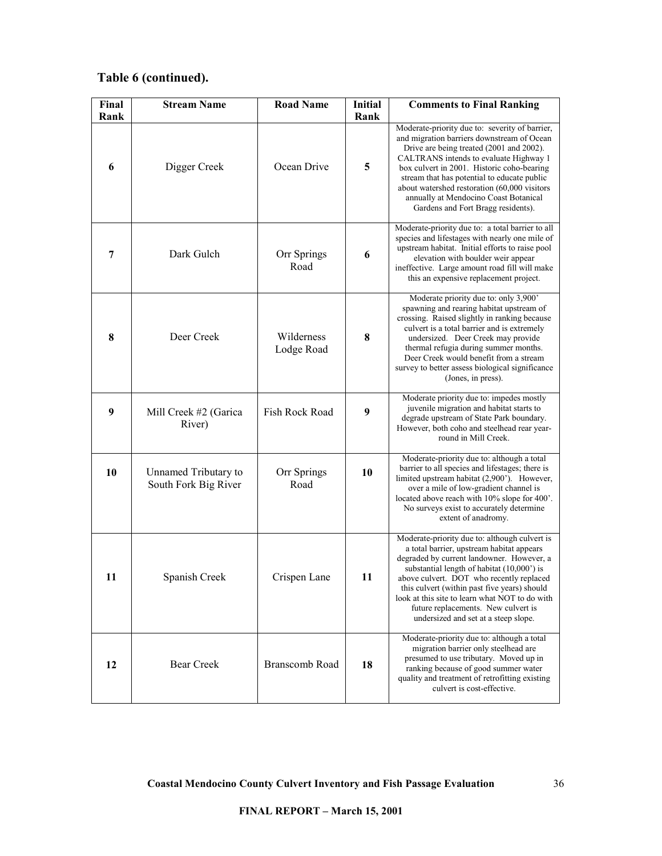# **Table 6 (continued).**

| Final<br>Rank | <b>Stream Name</b>                           | <b>Road Name</b>         | <b>Initial</b><br>Rank | <b>Comments to Final Ranking</b>                                                                                                                                                                                                                                                                                                                                                                                   |
|---------------|----------------------------------------------|--------------------------|------------------------|--------------------------------------------------------------------------------------------------------------------------------------------------------------------------------------------------------------------------------------------------------------------------------------------------------------------------------------------------------------------------------------------------------------------|
| 6             | Digger Creek                                 | Ocean Drive              | 5                      | Moderate-priority due to: severity of barrier,<br>and migration barriers downstream of Ocean<br>Drive are being treated (2001 and 2002).<br>CALTRANS intends to evaluate Highway 1<br>box culvert in 2001. Historic coho-bearing<br>stream that has potential to educate public<br>about watershed restoration (60,000 visitors<br>annually at Mendocino Coast Botanical<br>Gardens and Fort Bragg residents).     |
| 7             | Dark Gulch                                   | Orr Springs<br>Road      | 6                      | Moderate-priority due to: a total barrier to all<br>species and lifestages with nearly one mile of<br>upstream habitat. Initial efforts to raise pool<br>elevation with boulder weir appear<br>ineffective. Large amount road fill will make<br>this an expensive replacement project.                                                                                                                             |
| 8             | Deer Creek                                   | Wilderness<br>Lodge Road | 8                      | Moderate priority due to: only 3,900'<br>spawning and rearing habitat upstream of<br>crossing. Raised slightly in ranking because<br>culvert is a total barrier and is extremely<br>undersized. Deer Creek may provide<br>thermal refugia during summer months.<br>Deer Creek would benefit from a stream<br>survey to better assess biological significance<br>(Jones, in press).                                 |
| 9             | Mill Creek #2 (Garica<br>River)              | Fish Rock Road           | 9                      | Moderate priority due to: impedes mostly<br>juvenile migration and habitat starts to<br>degrade upstream of State Park boundary.<br>However, both coho and steelhead rear year-<br>round in Mill Creek.                                                                                                                                                                                                            |
| 10            | Unnamed Tributary to<br>South Fork Big River | Orr Springs<br>Road      | 10                     | Moderate-priority due to: although a total<br>barrier to all species and lifestages; there is<br>limited upstream habitat (2,900'). However,<br>over a mile of low-gradient channel is<br>located above reach with 10% slope for 400'.<br>No surveys exist to accurately determine<br>extent of anadromy.                                                                                                          |
| 11            | Spanish Creek                                | Crispen Lane             | 11                     | Moderate-priority due to: although culvert is<br>a total barrier, upstream habitat appears<br>degraded by current landowner. However, a<br>substantial length of habitat (10,000') is<br>above culvert. DOT who recently replaced<br>this culvert (within past five years) should<br>look at this site to learn what NOT to do with<br>future replacements. New culvert is<br>undersized and set at a steep slope. |
| 12            | Bear Creek                                   | Branscomb Road           | 18                     | Moderate-priority due to: although a total<br>migration barrier only steelhead are<br>presumed to use tributary. Moved up in<br>ranking because of good summer water<br>quality and treatment of retrofitting existing<br>culvert is cost-effective.                                                                                                                                                               |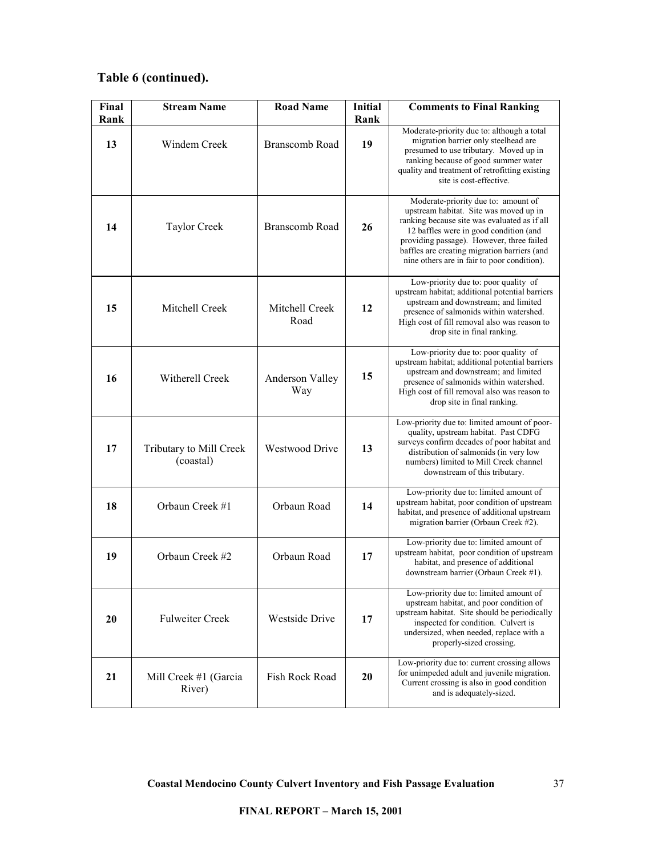# **Table 6 (continued).**

| Final<br>Rank | <b>Stream Name</b>                   | <b>Road Name</b>       | Initial<br>Rank | <b>Comments to Final Ranking</b>                                                                                                                                                                                                                                                                                    |
|---------------|--------------------------------------|------------------------|-----------------|---------------------------------------------------------------------------------------------------------------------------------------------------------------------------------------------------------------------------------------------------------------------------------------------------------------------|
| 13            | Windem Creek                         | <b>Branscomb Road</b>  | 19              | Moderate-priority due to: although a total<br>migration barrier only steelhead are<br>presumed to use tributary. Moved up in<br>ranking because of good summer water<br>quality and treatment of retrofitting existing<br>site is cost-effective.                                                                   |
| 14            | <b>Taylor Creek</b>                  | <b>Branscomb Road</b>  | 26              | Moderate-priority due to: amount of<br>upstream habitat. Site was moved up in<br>ranking because site was evaluated as if all<br>12 baffles were in good condition (and<br>providing passage). However, three failed<br>baffles are creating migration barriers (and<br>nine others are in fair to poor condition). |
| 15            | Mitchell Creek                       | Mitchell Creek<br>Road | 12              | Low-priority due to: poor quality of<br>upstream habitat; additional potential barriers<br>upstream and downstream; and limited<br>presence of salmonids within watershed.<br>High cost of fill removal also was reason to<br>drop site in final ranking.                                                           |
| 16            | Witherell Creek                      | Anderson Valley<br>Way | 15              | Low-priority due to: poor quality of<br>upstream habitat; additional potential barriers<br>upstream and downstream; and limited<br>presence of salmonids within watershed.<br>High cost of fill removal also was reason to<br>drop site in final ranking.                                                           |
| 17            | Tributary to Mill Creek<br>(coastal) | <b>Westwood Drive</b>  | 13              | Low-priority due to: limited amount of poor-<br>quality, upstream habitat. Past CDFG<br>surveys confirm decades of poor habitat and<br>distribution of salmonids (in very low<br>numbers) limited to Mill Creek channel<br>downstream of this tributary.                                                            |
| 18            | Orbaun Creek #1                      | Orbaun Road            | 14              | Low-priority due to: limited amount of<br>upstream habitat, poor condition of upstream<br>habitat, and presence of additional upstream<br>migration barrier (Orbaun Creek #2).                                                                                                                                      |
| 19            | Orbaun Creek #2                      | Orbaun Road            | 17              | Low-priority due to: limited amount of<br>upstream habitat, poor condition of upstream<br>habitat, and presence of additional<br>downstream barrier (Orbaun Creek #1).                                                                                                                                              |
| 20            | <b>Fulweiter Creek</b>               | Westside Drive         | 17              | Low-priority due to: limited amount of<br>upstream habitat, and poor condition of<br>upstream habitat. Site should be periodically<br>inspected for condition. Culvert is<br>undersized, when needed, replace with a<br>properly-sized crossing.                                                                    |
| 21            | Mill Creek #1 (Garcia<br>River)      | Fish Rock Road         | 20              | Low-priority due to: current crossing allows<br>for unimpeded adult and juvenile migration.<br>Current crossing is also in good condition<br>and is adequately-sized.                                                                                                                                               |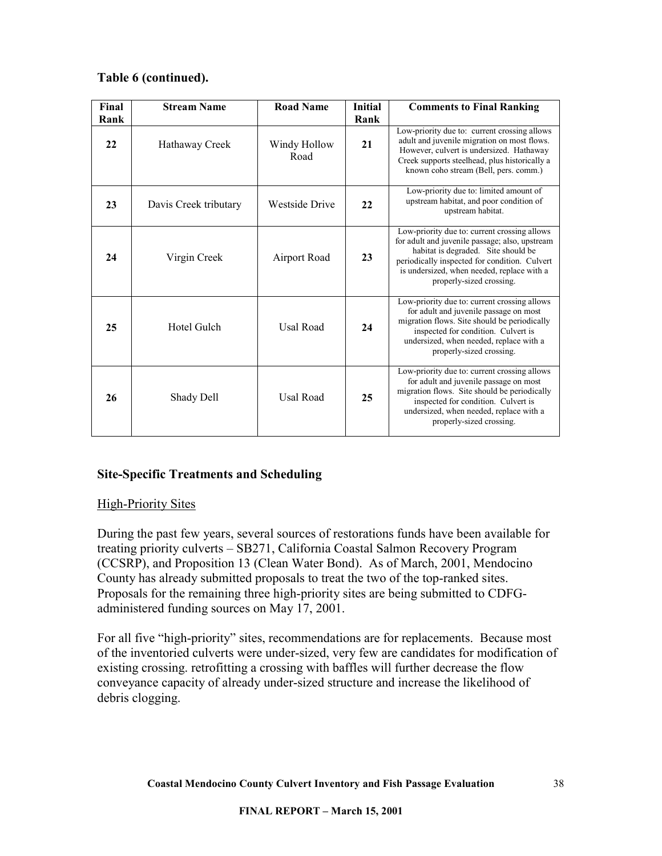## <span id="page-37-0"></span>**Table 6 (continued).**

| Final<br>Rank | <b>Stream Name</b>    | <b>Road Name</b>      | Initial<br>Rank | <b>Comments to Final Ranking</b>                                                                                                                                                                                                                                 |
|---------------|-----------------------|-----------------------|-----------------|------------------------------------------------------------------------------------------------------------------------------------------------------------------------------------------------------------------------------------------------------------------|
| 22            | Hathaway Creek        | Windy Hollow<br>Road  | 21              | Low-priority due to: current crossing allows<br>adult and juvenile migration on most flows.<br>However, culvert is undersized. Hathaway<br>Creek supports steelhead, plus historically a<br>known coho stream (Bell, pers. comm.)                                |
| 23            | Davis Creek tributary | <b>Westside Drive</b> | 22              | Low-priority due to: limited amount of<br>upstream habitat, and poor condition of<br>upstream habitat.                                                                                                                                                           |
| 24            | Virgin Creek          | Airport Road          | 23              | Low-priority due to: current crossing allows<br>for adult and juvenile passage; also, upstream<br>habitat is degraded. Site should be<br>periodically inspected for condition. Culvert<br>is undersized, when needed, replace with a<br>properly-sized crossing. |
| 25            | Hotel Gulch           | Usal Road             | 24              | Low-priority due to: current crossing allows<br>for adult and juvenile passage on most<br>migration flows. Site should be periodically<br>inspected for condition. Culvert is<br>undersized, when needed, replace with a<br>properly-sized crossing.             |
| 26            | Shady Dell            | Usal Road             | 25              | Low-priority due to: current crossing allows<br>for adult and juvenile passage on most<br>migration flows. Site should be periodically<br>inspected for condition. Culvert is<br>undersized, when needed, replace with a<br>properly-sized crossing.             |

## **Site-Specific Treatments and Scheduling**

## High-Priority Sites

During the past few years, several sources of restorations funds have been available for treating priority culverts – SB271, California Coastal Salmon Recovery Program (CCSRP), and Proposition 13 (Clean Water Bond). As of March, 2001, Mendocino County has already submitted proposals to treat the two of the top-ranked sites. Proposals for the remaining three high-priority sites are being submitted to CDFGadministered funding sources on May 17, 2001.

For all five "high-priority" sites, recommendations are for replacements. Because most of the inventoried culverts were under-sized, very few are candidates for modification of existing crossing. retrofitting a crossing with baffles will further decrease the flow conveyance capacity of already under-sized structure and increase the likelihood of debris clogging.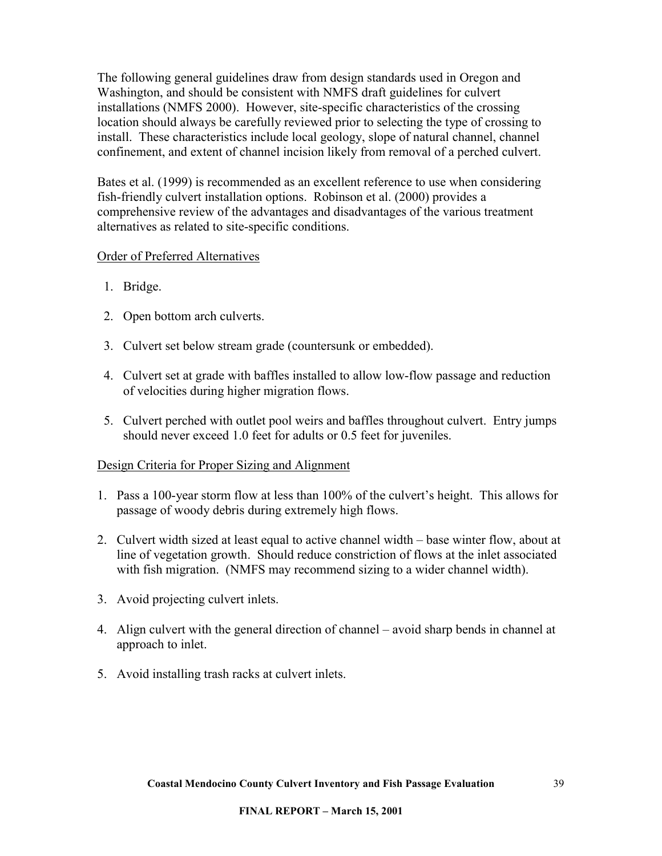<span id="page-38-0"></span>The following general guidelines draw from design standards used in Oregon and Washington, and should be consistent with NMFS draft guidelines for culvert installations (NMFS 2000). However, site-specific characteristics of the crossing location should always be carefully reviewed prior to selecting the type of crossing to install. These characteristics include local geology, slope of natural channel, channel confinement, and extent of channel incision likely from removal of a perched culvert.

Bates et al. (1999) is recommended as an excellent reference to use when considering fish-friendly culvert installation options. Robinson et al. (2000) provides a comprehensive review of the advantages and disadvantages of the various treatment alternatives as related to site-specific conditions.

#### Order of Preferred Alternatives

- 1. Bridge.
- 2. Open bottom arch culverts.
- 3. Culvert set below stream grade (countersunk or embedded).
- 4. Culvert set at grade with baffles installed to allow low-flow passage and reduction of velocities during higher migration flows.
- 5. Culvert perched with outlet pool weirs and baffles throughout culvert. Entry jumps should never exceed 1.0 feet for adults or 0.5 feet for juveniles.

#### Design Criteria for Proper Sizing and Alignment

- 1. Pass a 100-year storm flow at less than 100% of the culvert's height. This allows for passage of woody debris during extremely high flows.
- 2. Culvert width sized at least equal to active channel width base winter flow, about at line of vegetation growth. Should reduce constriction of flows at the inlet associated with fish migration. (NMFS may recommend sizing to a wider channel width).
- 3. Avoid projecting culvert inlets.
- 4. Align culvert with the general direction of channel avoid sharp bends in channel at approach to inlet.
- 5. Avoid installing trash racks at culvert inlets.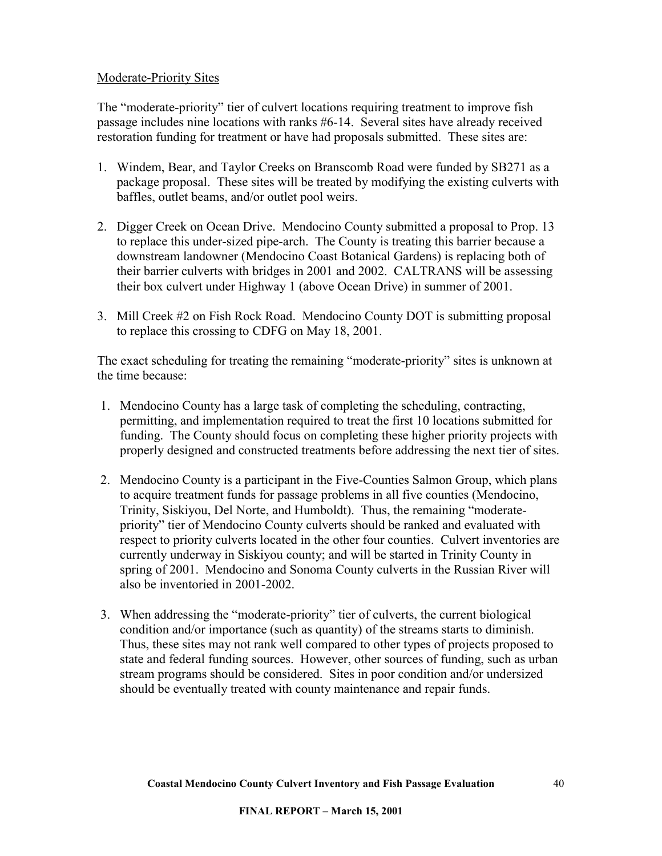#### <span id="page-39-0"></span>Moderate-Priority Sites

The "moderate-priority" tier of culvert locations requiring treatment to improve fish passage includes nine locations with ranks #6-14. Several sites have already received restoration funding for treatment or have had proposals submitted. These sites are:

- 1. Windem, Bear, and Taylor Creeks on Branscomb Road were funded by SB271 as a package proposal. These sites will be treated by modifying the existing culverts with baffles, outlet beams, and/or outlet pool weirs.
- 2. Digger Creek on Ocean Drive. Mendocino County submitted a proposal to Prop. 13 to replace this under-sized pipe-arch. The County is treating this barrier because a downstream landowner (Mendocino Coast Botanical Gardens) is replacing both of their barrier culverts with bridges in 2001 and 2002. CALTRANS will be assessing their box culvert under Highway 1 (above Ocean Drive) in summer of 2001.
- 3. Mill Creek #2 on Fish Rock Road. Mendocino County DOT is submitting proposal to replace this crossing to CDFG on May 18, 2001.

The exact scheduling for treating the remaining "moderate-priority" sites is unknown at the time because:

- 1. Mendocino County has a large task of completing the scheduling, contracting, permitting, and implementation required to treat the first 10 locations submitted for funding. The County should focus on completing these higher priority projects with properly designed and constructed treatments before addressing the next tier of sites.
- 2. Mendocino County is a participant in the Five-Counties Salmon Group, which plans to acquire treatment funds for passage problems in all five counties (Mendocino, Trinity, Siskiyou, Del Norte, and Humboldt). Thus, the remaining "moderatepriority" tier of Mendocino County culverts should be ranked and evaluated with respect to priority culverts located in the other four counties. Culvert inventories are currently underway in Siskiyou county; and will be started in Trinity County in spring of 2001. Mendocino and Sonoma County culverts in the Russian River will also be inventoried in 2001-2002.
- 3. When addressing the "moderate-priority" tier of culverts, the current biological condition and/or importance (such as quantity) of the streams starts to diminish. Thus, these sites may not rank well compared to other types of projects proposed to state and federal funding sources. However, other sources of funding, such as urban stream programs should be considered. Sites in poor condition and/or undersized should be eventually treated with county maintenance and repair funds.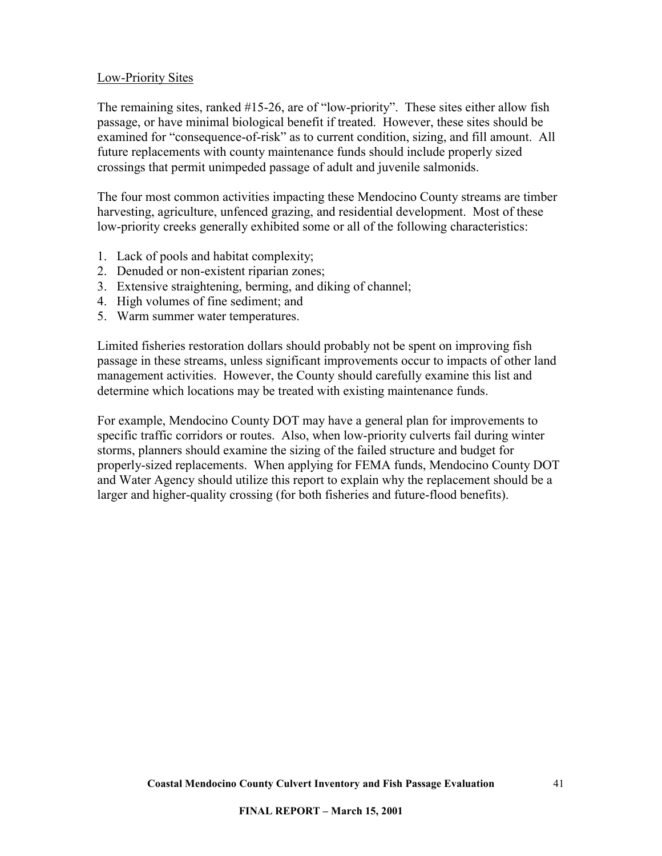#### <span id="page-40-0"></span>Low-Priority Sites

The remaining sites, ranked #15-26, are of "low-priority". These sites either allow fish passage, or have minimal biological benefit if treated. However, these sites should be examined for "consequence-of-risk" as to current condition, sizing, and fill amount. All future replacements with county maintenance funds should include properly sized crossings that permit unimpeded passage of adult and juvenile salmonids.

The four most common activities impacting these Mendocino County streams are timber harvesting, agriculture, unfenced grazing, and residential development. Most of these low-priority creeks generally exhibited some or all of the following characteristics:

- 1. Lack of pools and habitat complexity;
- 2. Denuded or non-existent riparian zones;
- 3. Extensive straightening, berming, and diking of channel;
- 4. High volumes of fine sediment; and
- 5. Warm summer water temperatures.

Limited fisheries restoration dollars should probably not be spent on improving fish passage in these streams, unless significant improvements occur to impacts of other land management activities. However, the County should carefully examine this list and determine which locations may be treated with existing maintenance funds.

For example, Mendocino County DOT may have a general plan for improvements to specific traffic corridors or routes. Also, when low-priority culverts fail during winter storms, planners should examine the sizing of the failed structure and budget for properly-sized replacements. When applying for FEMA funds, Mendocino County DOT and Water Agency should utilize this report to explain why the replacement should be a larger and higher-quality crossing (for both fisheries and future-flood benefits).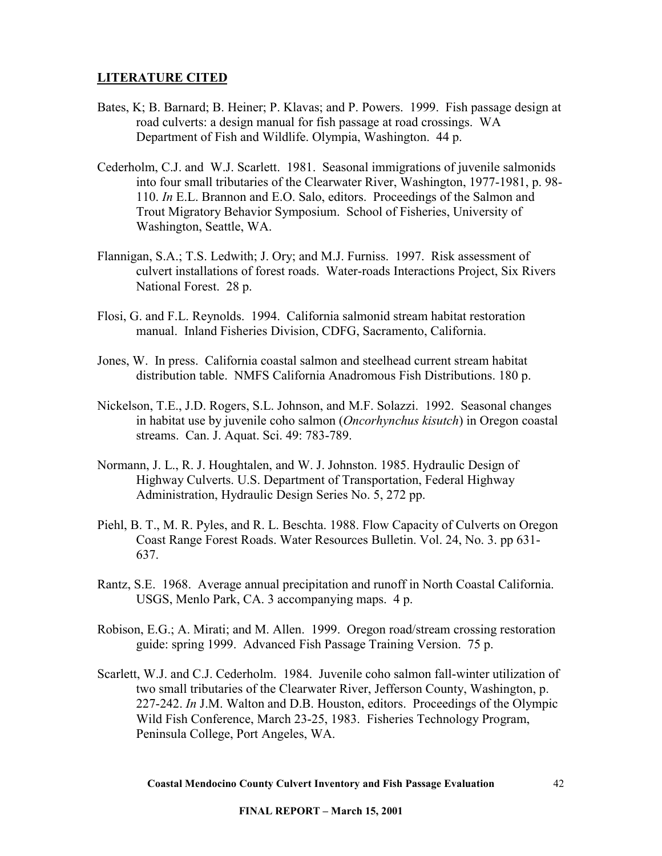## <span id="page-41-0"></span>**LITERATURE CITED**

- Bates, K; B. Barnard; B. Heiner; P. Klavas; and P. Powers. 1999. Fish passage design at road culverts: a design manual for fish passage at road crossings. WA Department of Fish and Wildlife. Olympia, Washington. 44 p.
- Cederholm, C.J. and W.J. Scarlett. 1981. Seasonal immigrations of juvenile salmonids into four small tributaries of the Clearwater River, Washington, 1977-1981, p. 98- 110. *In* E.L. Brannon and E.O. Salo, editors. Proceedings of the Salmon and Trout Migratory Behavior Symposium. School of Fisheries, University of Washington, Seattle, WA.
- Flannigan, S.A.; T.S. Ledwith; J. Ory; and M.J. Furniss. 1997. Risk assessment of culvert installations of forest roads. Water-roads Interactions Project, Six Rivers National Forest. 28 p.
- Flosi, G. and F.L. Reynolds. 1994. California salmonid stream habitat restoration manual. Inland Fisheries Division, CDFG, Sacramento, California.
- Jones, W. In press. California coastal salmon and steelhead current stream habitat distribution table. NMFS California Anadromous Fish Distributions. 180 p.
- Nickelson, T.E., J.D. Rogers, S.L. Johnson, and M.F. Solazzi. 1992. Seasonal changes in habitat use by juvenile coho salmon (*Oncorhynchus kisutch*) in Oregon coastal streams. Can. J. Aquat. Sci. 49: 783-789.
- Normann, J. L., R. J. Houghtalen, and W. J. Johnston. 1985. Hydraulic Design of Highway Culverts. U.S. Department of Transportation, Federal Highway Administration, Hydraulic Design Series No. 5, 272 pp.
- Piehl, B. T., M. R. Pyles, and R. L. Beschta. 1988. Flow Capacity of Culverts on Oregon Coast Range Forest Roads. Water Resources Bulletin. Vol. 24, No. 3. pp 631- 637.
- Rantz, S.E. 1968. Average annual precipitation and runoff in North Coastal California. USGS, Menlo Park, CA. 3 accompanying maps. 4 p.
- Robison, E.G.; A. Mirati; and M. Allen. 1999. Oregon road/stream crossing restoration guide: spring 1999. Advanced Fish Passage Training Version. 75 p.
- Scarlett, W.J. and C.J. Cederholm. 1984. Juvenile coho salmon fall-winter utilization of two small tributaries of the Clearwater River, Jefferson County, Washington, p. 227-242. *In* J.M. Walton and D.B. Houston, editors. Proceedings of the Olympic Wild Fish Conference, March 23-25, 1983. Fisheries Technology Program, Peninsula College, Port Angeles, WA.